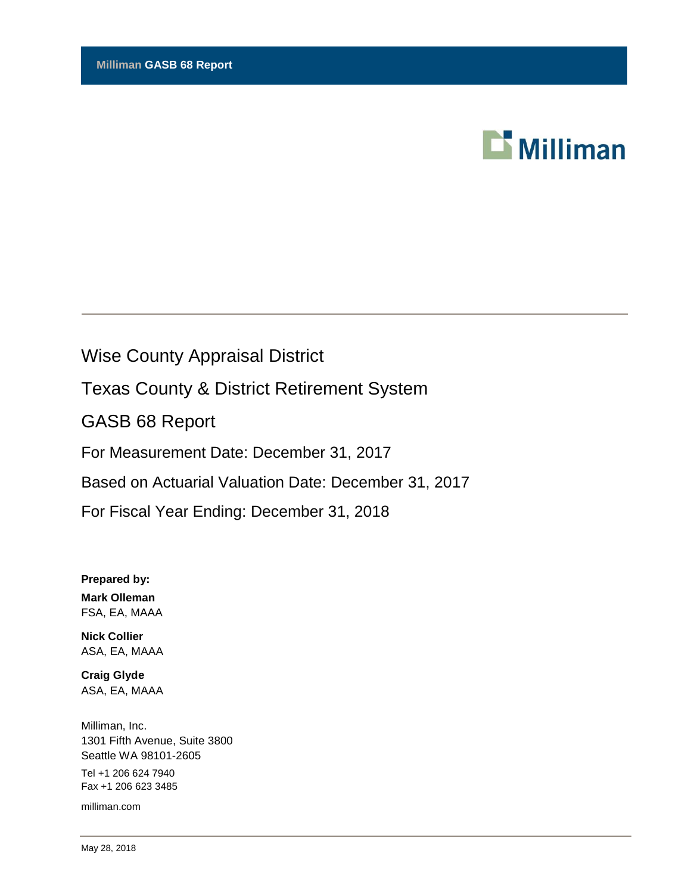

# Wise County Appraisal District

Texas County & District Retirement System

GASB 68 Report

For Measurement Date: December 31, 2017

Based on Actuarial Valuation Date: December 31, 2017

For Fiscal Year Ending: December 31, 2018

**Prepared by: Mark Olleman** FSA, EA, MAAA

**Nick Collier** ASA, EA, MAAA

**Craig Glyde** ASA, EA, MAAA

Milliman, Inc. 1301 Fifth Avenue, Suite 3800 Seattle WA 98101-2605 Tel +1 206 624 7940 Fax +1 206 623 3485

milliman.com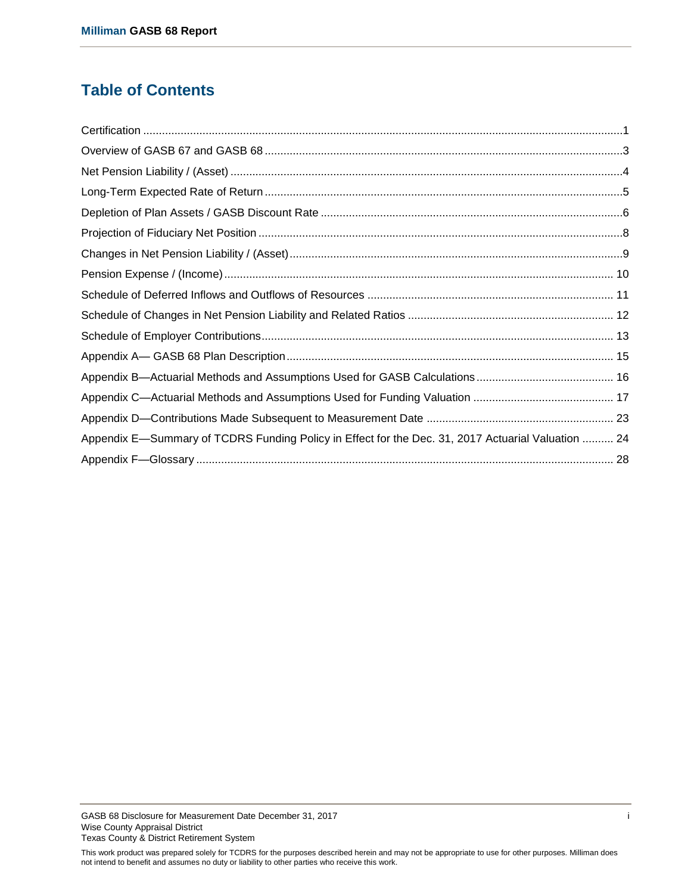# **Table of Contents**

| Appendix E—Summary of TCDRS Funding Policy in Effect for the Dec. 31, 2017 Actuarial Valuation  24 |  |
|----------------------------------------------------------------------------------------------------|--|
|                                                                                                    |  |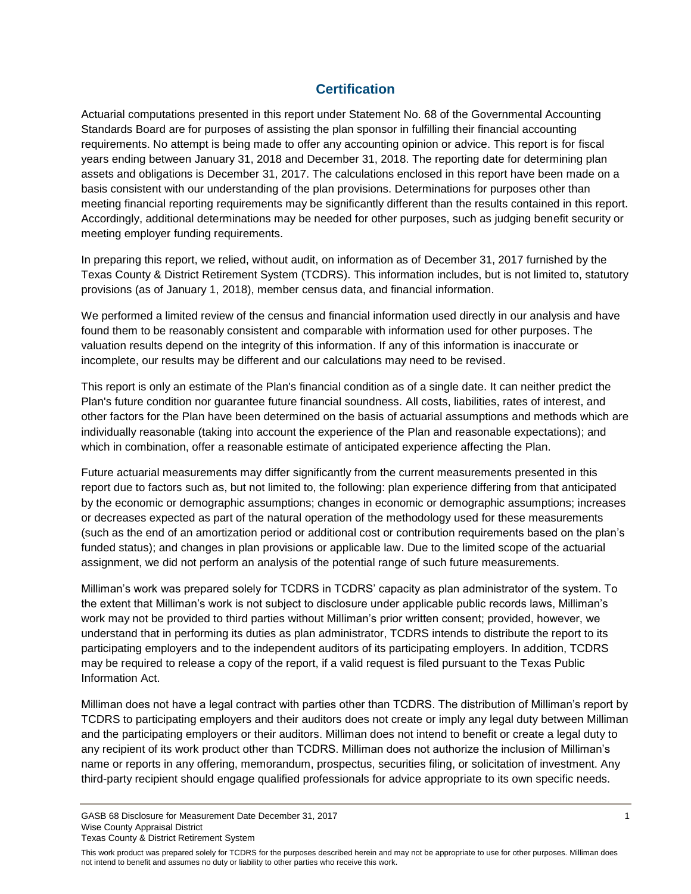### **Certification**

<span id="page-2-0"></span>Actuarial computations presented in this report under Statement No. 68 of the Governmental Accounting Standards Board are for purposes of assisting the plan sponsor in fulfilling their financial accounting requirements. No attempt is being made to offer any accounting opinion or advice. This report is for fiscal years ending between January 31, 2018 and December 31, 2018. The reporting date for determining plan assets and obligations is December 31, 2017. The calculations enclosed in this report have been made on a basis consistent with our understanding of the plan provisions. Determinations for purposes other than meeting financial reporting requirements may be significantly different than the results contained in this report. Accordingly, additional determinations may be needed for other purposes, such as judging benefit security or meeting employer funding requirements.

In preparing this report, we relied, without audit, on information as of December 31, 2017 furnished by the Texas County & District Retirement System (TCDRS). This information includes, but is not limited to, statutory provisions (as of January 1, 2018), member census data, and financial information.

We performed a limited review of the census and financial information used directly in our analysis and have found them to be reasonably consistent and comparable with information used for other purposes. The valuation results depend on the integrity of this information. If any of this information is inaccurate or incomplete, our results may be different and our calculations may need to be revised.

This report is only an estimate of the Plan's financial condition as of a single date. It can neither predict the Plan's future condition nor guarantee future financial soundness. All costs, liabilities, rates of interest, and other factors for the Plan have been determined on the basis of actuarial assumptions and methods which are individually reasonable (taking into account the experience of the Plan and reasonable expectations); and which in combination, offer a reasonable estimate of anticipated experience affecting the Plan.

Future actuarial measurements may differ significantly from the current measurements presented in this report due to factors such as, but not limited to, the following: plan experience differing from that anticipated by the economic or demographic assumptions; changes in economic or demographic assumptions; increases or decreases expected as part of the natural operation of the methodology used for these measurements (such as the end of an amortization period or additional cost or contribution requirements based on the plan's funded status); and changes in plan provisions or applicable law. Due to the limited scope of the actuarial assignment, we did not perform an analysis of the potential range of such future measurements.

Milliman's work was prepared solely for TCDRS in TCDRS' capacity as plan administrator of the system. To the extent that Milliman's work is not subject to disclosure under applicable public records laws, Milliman's work may not be provided to third parties without Milliman's prior written consent; provided, however, we understand that in performing its duties as plan administrator, TCDRS intends to distribute the report to its participating employers and to the independent auditors of its participating employers. In addition, TCDRS may be required to release a copy of the report, if a valid request is filed pursuant to the Texas Public Information Act.

Milliman does not have a legal contract with parties other than TCDRS. The distribution of Milliman's report by TCDRS to participating employers and their auditors does not create or imply any legal duty between Milliman and the participating employers or their auditors. Milliman does not intend to benefit or create a legal duty to any recipient of its work product other than TCDRS. Milliman does not authorize the inclusion of Milliman's name or reports in any offering, memorandum, prospectus, securities filing, or solicitation of investment. Any third-party recipient should engage qualified professionals for advice appropriate to its own specific needs.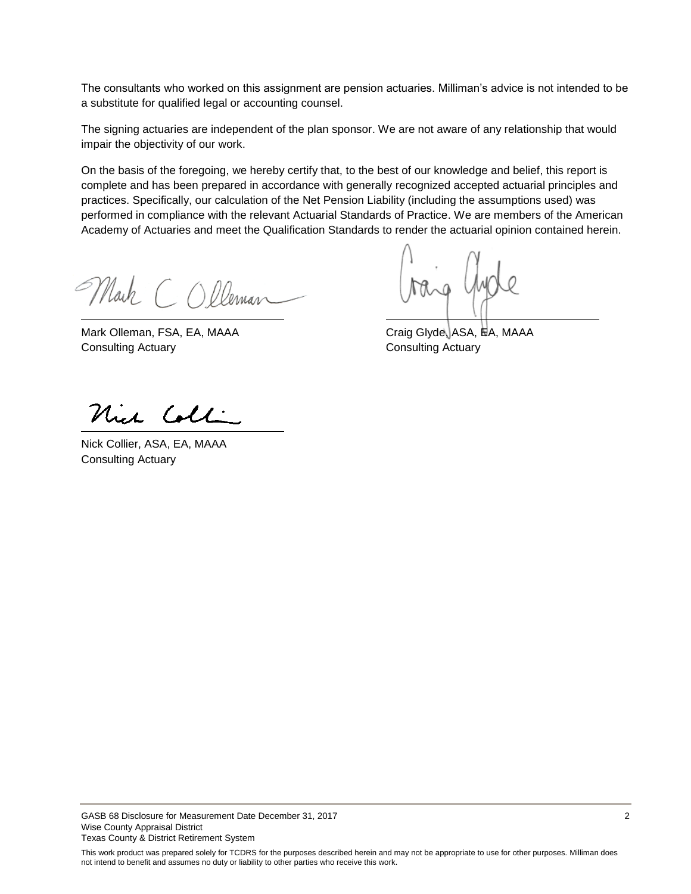The consultants who worked on this assignment are pension actuaries. Milliman's advice is not intended to be a substitute for qualified legal or accounting counsel.

The signing actuaries are independent of the plan sponsor. We are not aware of any relationship that would impair the objectivity of our work.

On the basis of the foregoing, we hereby certify that, to the best of our knowledge and belief, this report is complete and has been prepared in accordance with generally recognized accepted actuarial principles and practices. Specifically, our calculation of the Net Pension Liability (including the assumptions used) was performed in compliance with the relevant Actuarial Standards of Practice. We are members of the American Academy of Actuaries and meet the Qualification Standards to render the actuarial opinion contained herein.

Mark COlleman

Mark Olleman, FSA, EA, MAAA Craig Glyde, ASA, HA, MAAA **Consulting Actuary Consulting Actuary** 

Nich Coll

Nick Collier, ASA, EA, MAAA Consulting Actuary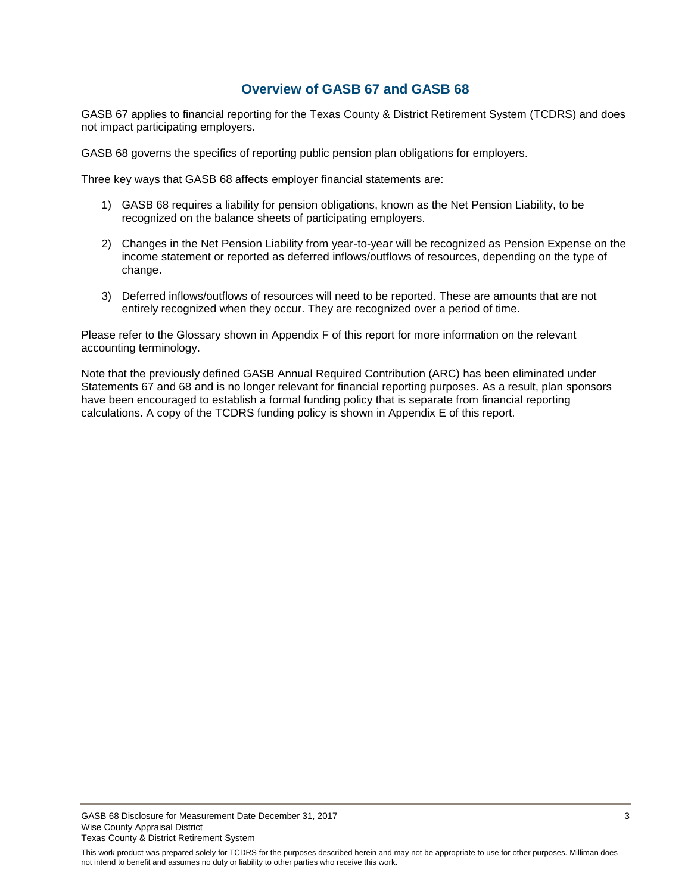### **Overview of GASB 67 and GASB 68**

<span id="page-4-0"></span>GASB 67 applies to financial reporting for the Texas County & District Retirement System (TCDRS) and does not impact participating employers.

GASB 68 governs the specifics of reporting public pension plan obligations for employers.

Three key ways that GASB 68 affects employer financial statements are:

- 1) GASB 68 requires a liability for pension obligations, known as the Net Pension Liability, to be recognized on the balance sheets of participating employers.
- 2) Changes in the Net Pension Liability from year-to-year will be recognized as Pension Expense on the income statement or reported as deferred inflows/outflows of resources, depending on the type of change.
- 3) Deferred inflows/outflows of resources will need to be reported. These are amounts that are not entirely recognized when they occur. They are recognized over a period of time.

Please refer to the Glossary shown in Appendix F of this report for more information on the relevant accounting terminology.

Note that the previously defined GASB Annual Required Contribution (ARC) has been eliminated under Statements 67 and 68 and is no longer relevant for financial reporting purposes. As a result, plan sponsors have been encouraged to establish a formal funding policy that is separate from financial reporting calculations. A copy of the TCDRS funding policy is shown in Appendix E of this report.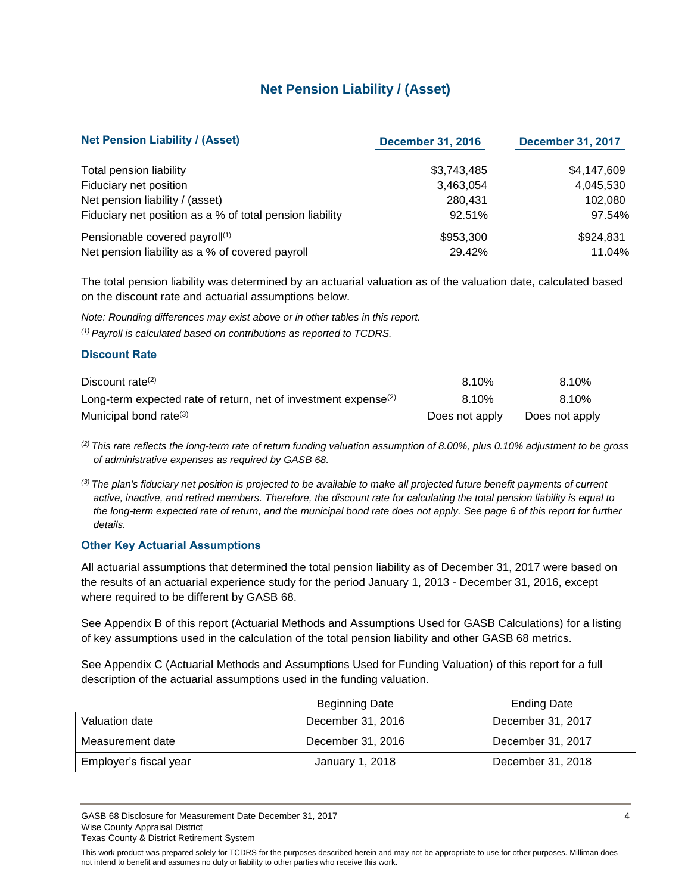### **Net Pension Liability / (Asset)**

<span id="page-5-0"></span>

| <b>Net Pension Liability / (Asset)</b>                   | <b>December 31, 2016</b> | <b>December 31, 2017</b> |
|----------------------------------------------------------|--------------------------|--------------------------|
| Total pension liability                                  | \$3,743,485              | \$4,147,609              |
| Fiduciary net position                                   | 3,463,054                | 4,045,530                |
| Net pension liability / (asset)                          | 280.431                  | 102,080                  |
| Fiduciary net position as a % of total pension liability | 92.51%                   | 97.54%                   |
| Pensionable covered payroll <sup>(1)</sup>               | \$953,300                | \$924,831                |
| Net pension liability as a % of covered payroll          | 29.42%                   | 11.04%                   |

The total pension liability was determined by an actuarial valuation as of the valuation date, calculated based on the discount rate and actuarial assumptions below.

*Note: Rounding differences may exist above or in other tables in this report. (1) Payroll is calculated based on contributions as reported to TCDRS.*

#### **Discount Rate**

| Discount rate <sup>(2)</sup>                                                | 8.10%          | 8.10%          |
|-----------------------------------------------------------------------------|----------------|----------------|
| Long-term expected rate of return, net of investment expense <sup>(2)</sup> | 8.10%          | 8.10%          |
| Municipal bond rate <sup>(3)</sup>                                          | Does not apply | Does not apply |

*(2) This rate reflects the long-term rate of return funding valuation assumption of 8.00%, plus 0.10% adjustment to be gross of administrative expenses as required by GASB 68.*

*(3) The plan's fiduciary net position is projected to be available to make all projected future benefit payments of current active, inactive, and retired members. Therefore, the discount rate for calculating the total pension liability is equal to the long-term expected rate of return, and the municipal bond rate does not apply. See page 6 of this report for further details.*

#### **Other Key Actuarial Assumptions**

All actuarial assumptions that determined the total pension liability as of December 31, 2017 were based on the results of an actuarial experience study for the period January 1, 2013 - December 31, 2016, except where required to be different by GASB 68.

See Appendix B of this report (Actuarial Methods and Assumptions Used for GASB Calculations) for a listing of key assumptions used in the calculation of the total pension liability and other GASB 68 metrics.

See Appendix C (Actuarial Methods and Assumptions Used for Funding Valuation) of this report for a full description of the actuarial assumptions used in the funding valuation.

|                        | <b>Beginning Date</b> | <b>Ending Date</b> |
|------------------------|-----------------------|--------------------|
| Valuation date         | December 31, 2016     | December 31, 2017  |
| Measurement date       | December 31, 2016     | December 31, 2017  |
| Employer's fiscal year | January 1, 2018       | December 31, 2018  |

GASB 68 Disclosure for Measurement Date December 31, 2017 4 American control of the USA and the USA and the USA and the USA and the USA and the USA and the USA and the USA and the USA and the USA and the USA and the USA an Wise County Appraisal District Texas County & District Retirement System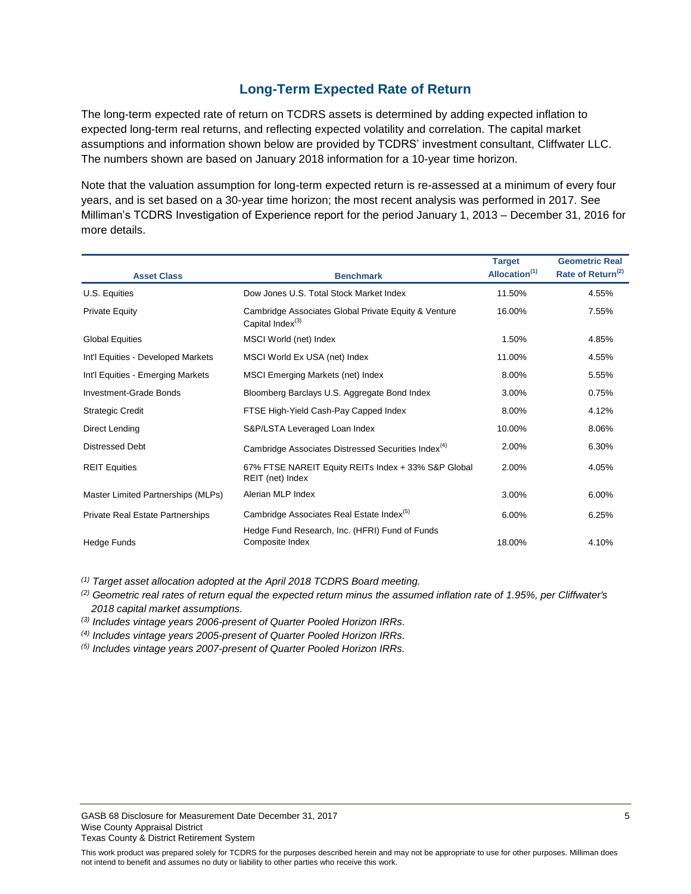### **Long-Term Expected Rate of Return**

<span id="page-6-0"></span>The long-term expected rate of return on TCDRS assets is determined by adding expected inflation to expected long-term real returns, and reflecting expected volatility and correlation. The capital market assumptions and information shown below are provided by TCDRS' investment consultant, Cliffwater LLC. The numbers shown are based on January 2018 information for a 10-year time horizon.

Note that the valuation assumption for long-term expected return is re-assessed at a minimum of every four years, and is set based on a 30-year time horizon; the most recent analysis was performed in 2017. See Milliman's TCDRS Investigation of Experience report for the period January 1, 2013 – December 31, 2016 for more details.

| <b>Asset Class</b>                      | <b>Benchmark</b>                                                                     | <b>Target</b><br>Allocation <sup>(1)</sup> | <b>Geometric Real</b><br>Rate of Return <sup>(2)</sup> |
|-----------------------------------------|--------------------------------------------------------------------------------------|--------------------------------------------|--------------------------------------------------------|
|                                         |                                                                                      |                                            |                                                        |
| U.S. Equities                           | Dow Jones U.S. Total Stock Market Index                                              | 11.50%                                     | 4.55%                                                  |
| <b>Private Equity</b>                   | Cambridge Associates Global Private Equity & Venture<br>Capital Index <sup>(3)</sup> | 16.00%                                     | 7.55%                                                  |
| <b>Global Equities</b>                  | MSCI World (net) Index                                                               | 1.50%                                      | 4.85%                                                  |
| Int'l Equities - Developed Markets      | MSCI World Ex USA (net) Index                                                        | 11.00%                                     | 4.55%                                                  |
| Int'l Equities - Emerging Markets       | MSCI Emerging Markets (net) Index                                                    | 8.00%                                      | 5.55%                                                  |
| Investment-Grade Bonds                  | Bloomberg Barclays U.S. Aggregate Bond Index                                         | 3.00%                                      | 0.75%                                                  |
| <b>Strategic Credit</b>                 | FTSE High-Yield Cash-Pay Capped Index                                                | 8.00%                                      | 4.12%                                                  |
| Direct Lending                          | S&P/LSTA Leveraged Loan Index                                                        | 10.00%                                     | 8.06%                                                  |
| <b>Distressed Debt</b>                  | Cambridge Associates Distressed Securities Index <sup>(4)</sup>                      | 2.00%                                      | 6.30%                                                  |
| <b>REIT Equities</b>                    | 67% FTSE NAREIT Equity REITs Index + 33% S&P Global<br>REIT (net) Index              | 2.00%                                      | 4.05%                                                  |
| Master Limited Partnerships (MLPs)      | Alerian MLP Index                                                                    | 3.00%                                      | 6.00%                                                  |
| <b>Private Real Estate Partnerships</b> | Cambridge Associates Real Estate Index <sup>(5)</sup>                                | 6.00%                                      | 6.25%                                                  |
| Hedge Funds                             | Hedge Fund Research, Inc. (HFRI) Fund of Funds<br>Composite Index                    | 18.00%                                     | 4.10%                                                  |

*(1) Target asset allocation adopted at the April 2018 TCDRS Board meeting.*

*(2) Geometric real rates of return equal the expected return minus the assumed inflation rate of 1.95%, per Cliffwater's 2018 capital market assumptions.*

*(3) Includes vintage years 2006-present of Quarter Pooled Horizon IRRs.*

*(4) Includes vintage years 2005-present of Quarter Pooled Horizon IRRs.*

*(5) Includes vintage years 2007-present of Quarter Pooled Horizon IRRs.*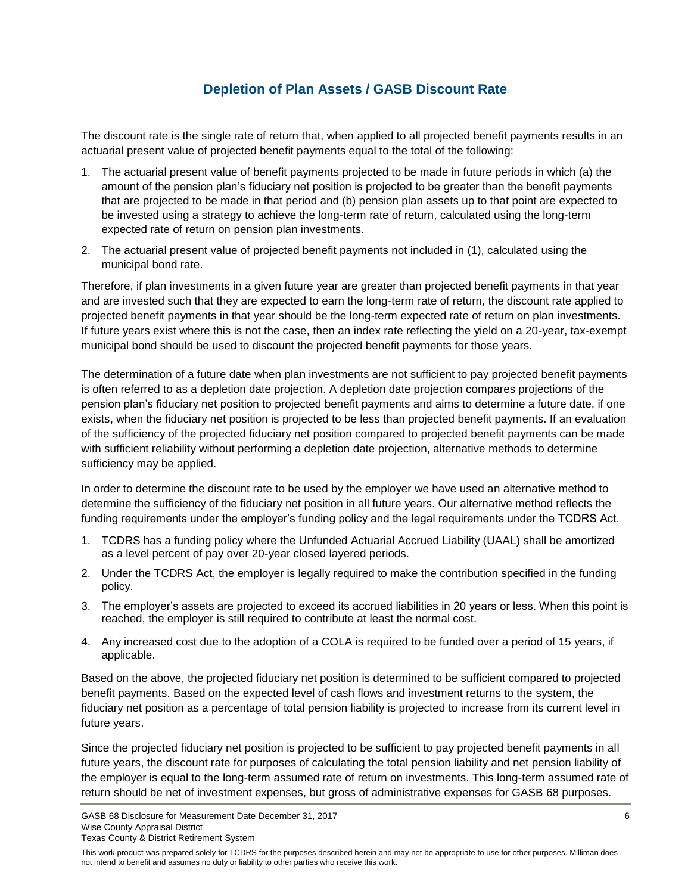### **Depletion of Plan Assets / GASB Discount Rate**

<span id="page-7-0"></span>The discount rate is the single rate of return that, when applied to all projected benefit payments results in an actuarial present value of projected benefit payments equal to the total of the following:

- 1. The actuarial present value of benefit payments projected to be made in future periods in which (a) the amount of the pension plan's fiduciary net position is projected to be greater than the benefit payments that are projected to be made in that period and (b) pension plan assets up to that point are expected to be invested using a strategy to achieve the long-term rate of return, calculated using the long-term expected rate of return on pension plan investments.
- 2. The actuarial present value of projected benefit payments not included in (1), calculated using the municipal bond rate.

Therefore, if plan investments in a given future year are greater than projected benefit payments in that year and are invested such that they are expected to earn the long-term rate of return, the discount rate applied to projected benefit payments in that year should be the long-term expected rate of return on plan investments. If future years exist where this is not the case, then an index rate reflecting the yield on a 20-year, tax-exempt municipal bond should be used to discount the projected benefit payments for those years.

The determination of a future date when plan investments are not sufficient to pay projected benefit payments is often referred to as a depletion date projection. A depletion date projection compares projections of the pension plan's fiduciary net position to projected benefit payments and aims to determine a future date, if one exists, when the fiduciary net position is projected to be less than projected benefit payments. If an evaluation of the sufficiency of the projected fiduciary net position compared to projected benefit payments can be made with sufficient reliability without performing a depletion date projection, alternative methods to determine sufficiency may be applied.

In order to determine the discount rate to be used by the employer we have used an alternative method to determine the sufficiency of the fiduciary net position in all future years. Our alternative method reflects the funding requirements under the employer's funding policy and the legal requirements under the TCDRS Act.

- 1. TCDRS has a funding policy where the Unfunded Actuarial Accrued Liability (UAAL) shall be amortized as a level percent of pay over 20-year closed layered periods.
- 2. Under the TCDRS Act, the employer is legally required to make the contribution specified in the funding policy.
- 3. The employer's assets are projected to exceed its accrued liabilities in 20 years or less. When this point is reached, the employer is still required to contribute at least the normal cost.
- 4. Any increased cost due to the adoption of a COLA is required to be funded over a period of 15 years, if applicable.

Based on the above, the projected fiduciary net position is determined to be sufficient compared to projected benefit payments. Based on the expected level of cash flows and investment returns to the system, the fiduciary net position as a percentage of total pension liability is projected to increase from its current level in future years.

Since the projected fiduciary net position is projected to be sufficient to pay projected benefit payments in all future years, the discount rate for purposes of calculating the total pension liability and net pension liability of the employer is equal to the long-term assumed rate of return on investments. This long-term assumed rate of return should be net of investment expenses, but gross of administrative expenses for GASB 68 purposes.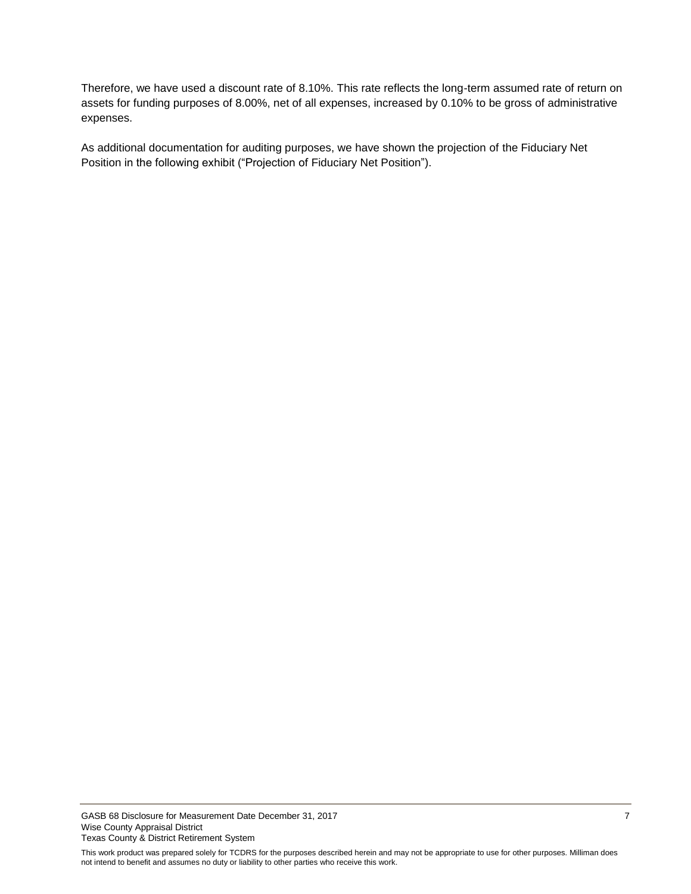Therefore, we have used a discount rate of 8.10%. This rate reflects the long-term assumed rate of return on assets for funding purposes of 8.00%, net of all expenses, increased by 0.10% to be gross of administrative expenses.

As additional documentation for auditing purposes, we have shown the projection of the Fiduciary Net Position in the following exhibit ("Projection of Fiduciary Net Position").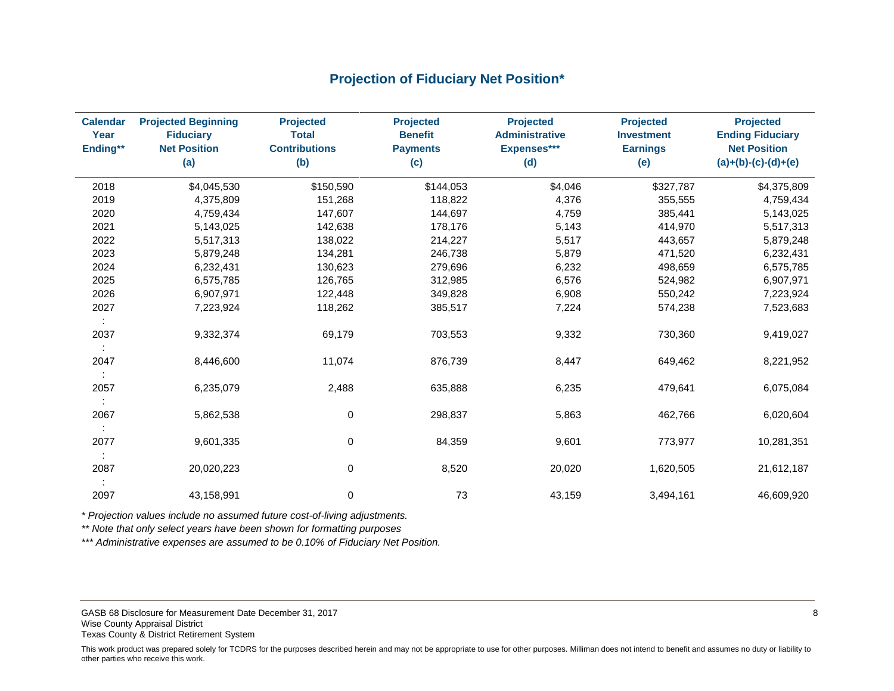### **Projection of Fiduciary Net Position\***

<span id="page-9-0"></span>

| <b>Calendar</b><br>Year<br>Ending** | <b>Projected Beginning</b><br><b>Fiduciary</b><br><b>Net Position</b><br>(a) | <b>Projected</b><br><b>Total</b><br><b>Contributions</b><br>(b) | <b>Projected</b><br><b>Benefit</b><br><b>Payments</b><br>(c) | <b>Projected</b><br><b>Administrative</b><br>Expenses***<br>(d) | <b>Projected</b><br><b>Investment</b><br><b>Earnings</b><br>(e) | <b>Projected</b><br><b>Ending Fiduciary</b><br><b>Net Position</b><br>$(a)+(b)-(c)-(d)+(e)$ |
|-------------------------------------|------------------------------------------------------------------------------|-----------------------------------------------------------------|--------------------------------------------------------------|-----------------------------------------------------------------|-----------------------------------------------------------------|---------------------------------------------------------------------------------------------|
| 2018                                | \$4,045,530                                                                  | \$150,590                                                       | \$144,053                                                    | \$4,046                                                         | \$327,787                                                       | \$4,375,809                                                                                 |
| 2019                                | 4,375,809                                                                    | 151,268                                                         | 118,822                                                      | 4,376                                                           | 355,555                                                         | 4,759,434                                                                                   |
| 2020                                | 4,759,434                                                                    | 147,607                                                         | 144,697                                                      | 4,759                                                           | 385,441                                                         | 5,143,025                                                                                   |
| 2021                                | 5,143,025                                                                    | 142,638                                                         | 178,176                                                      | 5,143                                                           | 414,970                                                         | 5,517,313                                                                                   |
| 2022                                | 5,517,313                                                                    | 138,022                                                         | 214,227                                                      | 5,517                                                           | 443,657                                                         | 5,879,248                                                                                   |
| 2023                                | 5,879,248                                                                    | 134,281                                                         | 246,738                                                      | 5,879                                                           | 471,520                                                         | 6,232,431                                                                                   |
| 2024                                | 6,232,431                                                                    | 130,623                                                         | 279,696                                                      | 6,232                                                           | 498,659                                                         | 6,575,785                                                                                   |
| 2025                                | 6,575,785                                                                    | 126,765                                                         | 312,985                                                      | 6,576                                                           | 524,982                                                         | 6,907,971                                                                                   |
| 2026                                | 6,907,971                                                                    | 122,448                                                         | 349,828                                                      | 6,908                                                           | 550,242                                                         | 7,223,924                                                                                   |
| 2027                                | 7,223,924                                                                    | 118,262                                                         | 385,517                                                      | 7,224                                                           | 574,238                                                         | 7,523,683                                                                                   |
| ÷                                   |                                                                              |                                                                 |                                                              |                                                                 |                                                                 |                                                                                             |
| 2037                                | 9,332,374                                                                    | 69,179                                                          | 703,553                                                      | 9,332                                                           | 730,360                                                         | 9,419,027                                                                                   |
|                                     |                                                                              |                                                                 |                                                              |                                                                 |                                                                 |                                                                                             |
| 2047                                | 8,446,600                                                                    | 11,074                                                          | 876,739                                                      | 8,447                                                           | 649,462                                                         | 8,221,952                                                                                   |
|                                     |                                                                              |                                                                 |                                                              |                                                                 |                                                                 |                                                                                             |
| 2057                                | 6,235,079                                                                    | 2,488                                                           | 635,888                                                      | 6,235                                                           | 479,641                                                         | 6,075,084                                                                                   |
|                                     |                                                                              |                                                                 |                                                              |                                                                 |                                                                 |                                                                                             |
| 2067                                | 5,862,538                                                                    | $\mathbf 0$                                                     | 298,837                                                      | 5,863                                                           | 462,766                                                         | 6,020,604                                                                                   |
|                                     |                                                                              |                                                                 |                                                              |                                                                 |                                                                 |                                                                                             |
| 2077                                | 9,601,335                                                                    | 0                                                               | 84,359                                                       | 9,601                                                           | 773,977                                                         | 10,281,351                                                                                  |
|                                     |                                                                              |                                                                 |                                                              |                                                                 |                                                                 |                                                                                             |
| 2087                                | 20,020,223                                                                   | 0                                                               | 8,520                                                        | 20,020                                                          | 1,620,505                                                       | 21,612,187                                                                                  |
|                                     |                                                                              |                                                                 |                                                              |                                                                 |                                                                 |                                                                                             |
| 2097                                | 43,158,991                                                                   | 0                                                               | 73                                                           | 43,159                                                          | 3,494,161                                                       | 46,609,920                                                                                  |

*\* Projection values include no assumed future cost-of-living adjustments.*

*\*\* Note that only select years have been shown for formatting purposes* 

*\*\*\* Administrative expenses are assumed to be 0.10% of Fiduciary Net Position.*

GASB 68 Disclosure for Measurement Date December 31, 2017 **8** 8 Wise County Appraisal District Texas County & District Retirement System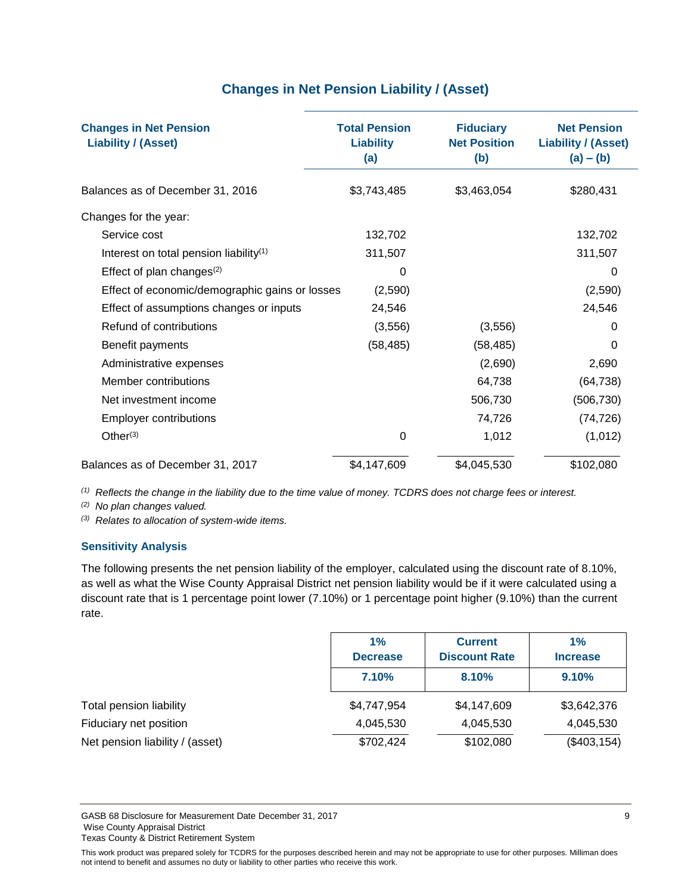## **Changes in Net Pension Liability / (Asset)**

<span id="page-10-0"></span>

| <b>Changes in Net Pension</b><br><b>Liability / (Asset)</b> | <b>Total Pension</b><br><b>Liability</b><br>(a) | <b>Fiduciary</b><br><b>Net Position</b><br>(b) | <b>Net Pension</b><br><b>Liability / (Asset)</b><br>$(a) - (b)$ |
|-------------------------------------------------------------|-------------------------------------------------|------------------------------------------------|-----------------------------------------------------------------|
| Balances as of December 31, 2016                            | \$3,743,485                                     | \$3,463,054                                    | \$280,431                                                       |
| Changes for the year:                                       |                                                 |                                                |                                                                 |
| Service cost                                                | 132,702                                         |                                                | 132,702                                                         |
| Interest on total pension liability <sup>(1)</sup>          | 311,507                                         |                                                | 311,507                                                         |
| Effect of plan changes $(2)$                                | 0                                               |                                                | 0                                                               |
| Effect of economic/demographic gains or losses              | (2,590)                                         |                                                | (2,590)                                                         |
| Effect of assumptions changes or inputs                     | 24,546                                          |                                                | 24,546                                                          |
| Refund of contributions                                     | (3, 556)                                        | (3, 556)                                       | 0                                                               |
| Benefit payments                                            | (58, 485)                                       | (58, 485)                                      | 0                                                               |
| Administrative expenses                                     |                                                 | (2,690)                                        | 2,690                                                           |
| Member contributions                                        |                                                 | 64,738                                         | (64, 738)                                                       |
| Net investment income                                       |                                                 | 506,730                                        | (506, 730)                                                      |
| <b>Employer contributions</b>                               |                                                 | 74,726                                         | (74, 726)                                                       |
| Other $(3)$                                                 | $\Omega$                                        | 1,012                                          | (1,012)                                                         |
| Balances as of December 31, 2017                            | \$4,147,609                                     | \$4,045,530                                    | \$102,080                                                       |

*(1) Reflects the change in the liability due to the time value of money. TCDRS does not charge fees or interest.* 

*(2) No plan changes valued.*

*(3) Relates to allocation of system-wide items.*

#### **Sensitivity Analysis**

The following presents the net pension liability of the employer, calculated using the discount rate of 8.10%, as well as what the Wise County Appraisal District net pension liability would be if it were calculated using a discount rate that is 1 percentage point lower (7.10%) or 1 percentage point higher (9.10%) than the current rate.

|                                 | 1%<br><b>Current</b><br><b>Discount Rate</b><br><b>Decrease</b> |             | 1%<br><b>Increase</b> |
|---------------------------------|-----------------------------------------------------------------|-------------|-----------------------|
|                                 | 7.10%                                                           | 8.10%       | 9.10%                 |
| Total pension liability         | \$4,747,954                                                     | \$4,147,609 | \$3,642,376           |
| Fiduciary net position          | 4,045,530                                                       | 4,045,530   | 4,045,530             |
| Net pension liability / (asset) | \$702,424                                                       | \$102,080   | (\$403, 154)          |

GASB 68 Disclosure for Measurement Date December 31, 2017 **9 2018** Wise County Appraisal District Texas County & District Retirement System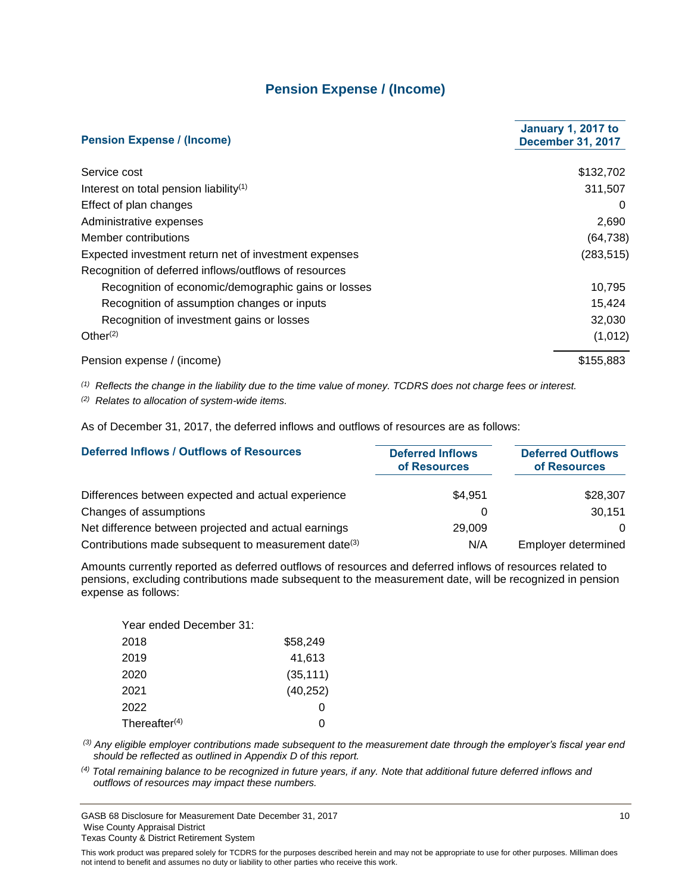### **Pension Expense / (Income)**

<span id="page-11-0"></span>

| <b>Pension Expense / (Income)</b>                     | <b>January 1, 2017 to</b><br><b>December 31, 2017</b> |
|-------------------------------------------------------|-------------------------------------------------------|
| Service cost                                          | \$132,702                                             |
| Interest on total pension liability <sup>(1)</sup>    | 311,507                                               |
| Effect of plan changes                                | $\Omega$                                              |
| Administrative expenses                               | 2,690                                                 |
| Member contributions                                  | (64, 738)                                             |
| Expected investment return net of investment expenses | (283, 515)                                            |
| Recognition of deferred inflows/outflows of resources |                                                       |
| Recognition of economic/demographic gains or losses   | 10,795                                                |
| Recognition of assumption changes or inputs           | 15,424                                                |
| Recognition of investment gains or losses             | 32,030                                                |
| Other <sup>(2)</sup>                                  | (1,012)                                               |
| Pension expense / (income)                            | \$155,883                                             |

*(1) Reflects the change in the liability due to the time value of money. TCDRS does not charge fees or interest.*

*(2) Relates to allocation of system-wide items.*

As of December 31, 2017, the deferred inflows and outflows of resources are as follows:

| <b>Deferred Inflows / Outflows of Resources</b>                  | <b>Deferred Inflows</b><br>of Resources | <b>Deferred Outflows</b><br>of Resources |
|------------------------------------------------------------------|-----------------------------------------|------------------------------------------|
| Differences between expected and actual experience               | \$4,951                                 | \$28,307                                 |
| Changes of assumptions                                           |                                         | 30.151                                   |
| Net difference between projected and actual earnings             | 29,009                                  | $\Omega$                                 |
| Contributions made subsequent to measurement date <sup>(3)</sup> | N/A                                     | Employer determined                      |

Amounts currently reported as deferred outflows of resources and deferred inflows of resources related to pensions, excluding contributions made subsequent to the measurement date, will be recognized in pension expense as follows:

| Year ended December 31: |           |
|-------------------------|-----------|
| 2018                    | \$58,249  |
| 2019                    | 41,613    |
| 2020                    | (35, 111) |
| 2021                    | (40, 252) |
| 2022                    | O         |
| Thereafter $(4)$        |           |

*(3) Any eligible employer contributions made subsequent to the measurement date through the employer's fiscal year end should be reflected as outlined in Appendix D of this report.* 

*(4) Total remaining balance to be recognized in future years, if any. Note that additional future deferred inflows and outflows of resources may impact these numbers.*

GASB 68 Disclosure for Measurement Date December 31, 2017 10 Wise County Appraisal District Texas County & District Retirement System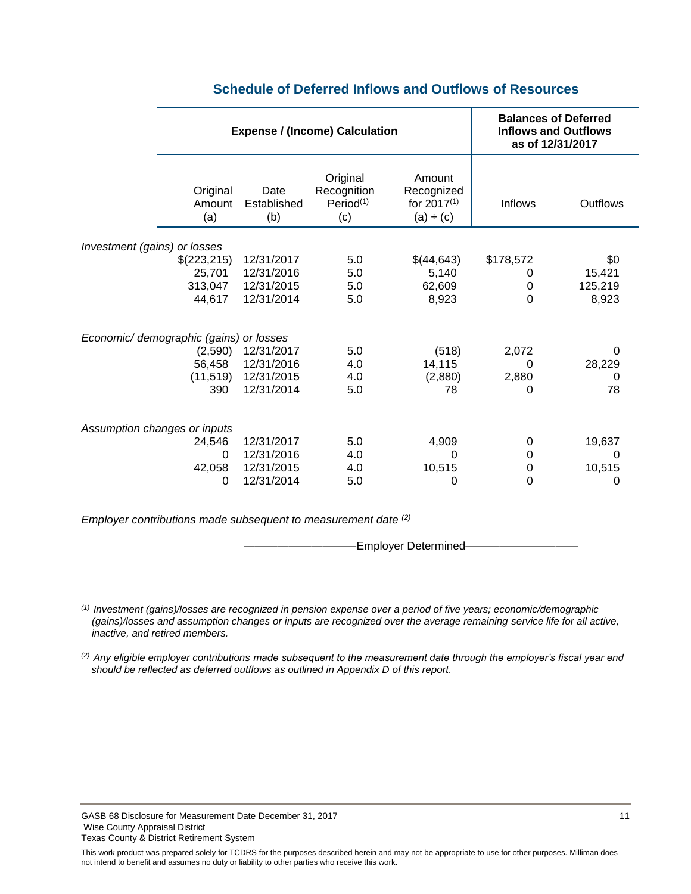<span id="page-12-0"></span>

|                                                                                                  | <b>Expense / (Income) Calculation</b>                              |                                                         |                                                              | <b>Balances of Deferred</b><br><b>Inflows and Outflows</b><br>as of 12/31/2017 |                                        |
|--------------------------------------------------------------------------------------------------|--------------------------------------------------------------------|---------------------------------------------------------|--------------------------------------------------------------|--------------------------------------------------------------------------------|----------------------------------------|
| Original<br>Amount<br>(a)                                                                        | Date<br>Established<br>(b)                                         | Original<br>Recognition<br>Period <sup>(1)</sup><br>(c) | Amount<br>Recognized<br>for 2017 <sup>(1)</sup><br>(a) ÷ (c) | <b>Inflows</b>                                                                 | Outflows                               |
| Investment (gains) or losses                                                                     |                                                                    |                                                         |                                                              |                                                                                |                                        |
| \$(223,215)<br>25,701<br>313,047<br>44,617<br>Economic/ demographic (gains) or losses<br>(2,590) | 12/31/2017<br>12/31/2016<br>12/31/2015<br>12/31/2014<br>12/31/2017 | 5.0<br>5.0<br>5.0<br>5.0<br>5.0                         | \$(44,643)<br>5,140<br>62,609<br>8,923<br>(518)              | \$178,572<br>0<br>0<br>$\mathbf 0$<br>2,072                                    | \$0<br>15,421<br>125,219<br>8,923<br>0 |
| 56,458<br>(11, 519)<br>390                                                                       | 12/31/2016<br>12/31/2015<br>12/31/2014                             | 4.0<br>4.0<br>5.0                                       | 14,115<br>(2,880)<br>78                                      | 0<br>2,880<br>0                                                                | 28,229<br>0<br>78                      |
| Assumption changes or inputs<br>24,546<br>$\Omega$                                               | 12/31/2017<br>12/31/2016                                           | 5.0<br>4.0                                              | 4,909<br>0                                                   | 0<br>$\mathbf 0$                                                               | 19,637<br>0                            |
| 42,058<br>0                                                                                      | 12/31/2015<br>12/31/2014                                           | 4.0<br>5.0                                              | 10,515<br>0                                                  | 0<br>$\mathbf 0$                                                               | 10,515<br>0                            |

### **Schedule of Deferred Inflows and Outflows of Resources**

*Employer contributions made subsequent to measurement date (2)*

**Employer Determined-**

*(1) Investment (gains)/losses are recognized in pension expense over a period of five years; economic/demographic (gains)/losses and assumption changes or inputs are recognized over the average remaining service life for all active, inactive, and retired members.*

*(2) Any eligible employer contributions made subsequent to the measurement date through the employer's fiscal year end should be reflected as deferred outflows as outlined in Appendix D of this report.* 

GASB 68 Disclosure for Measurement Date December 31, 2017 11 11 12 17 Wise County Appraisal District Texas County & District Retirement System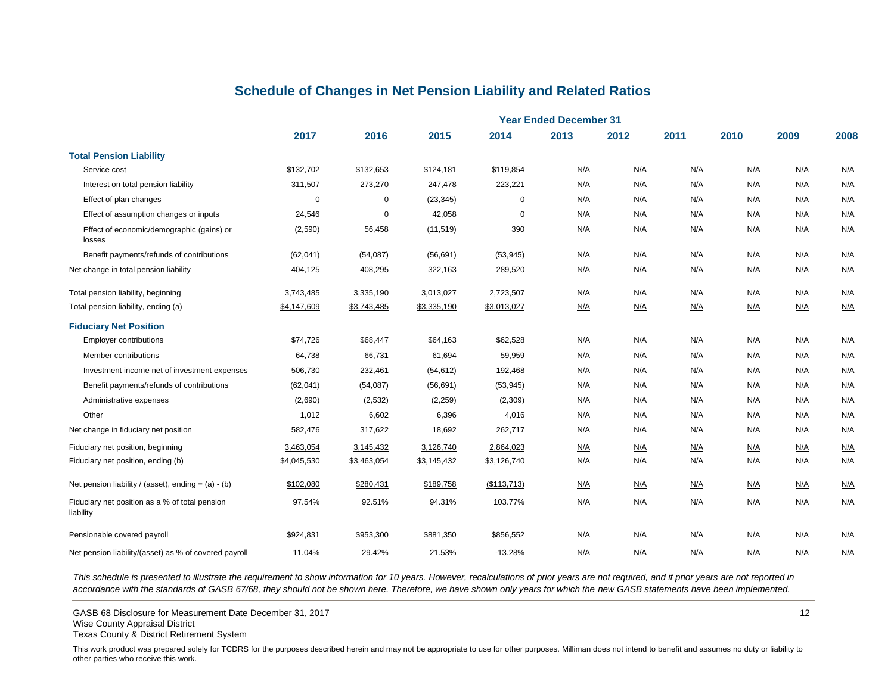<span id="page-13-0"></span>

|                                                             | <b>Year Ended December 31</b> |             |             |             |      |      |      |      |      |            |
|-------------------------------------------------------------|-------------------------------|-------------|-------------|-------------|------|------|------|------|------|------------|
|                                                             | 2017                          | 2016        | 2015        | 2014        | 2013 | 2012 | 2011 | 2010 | 2009 | 2008       |
| <b>Total Pension Liability</b>                              |                               |             |             |             |      |      |      |      |      |            |
| Service cost                                                | \$132,702                     | \$132,653   | \$124,181   | \$119,854   | N/A  | N/A  | N/A  | N/A  | N/A  | N/A        |
| Interest on total pension liability                         | 311,507                       | 273,270     | 247,478     | 223,221     | N/A  | N/A  | N/A  | N/A  | N/A  | N/A        |
| Effect of plan changes                                      | $\Omega$                      | 0           | (23, 345)   | $\Omega$    | N/A  | N/A  | N/A  | N/A  | N/A  | N/A        |
| Effect of assumption changes or inputs                      | 24,546                        | $\mathbf 0$ | 42,058      | $\mathbf 0$ | N/A  | N/A  | N/A  | N/A  | N/A  | N/A        |
| Effect of economic/demographic (gains) or<br>losses         | (2,590)                       | 56,458      | (11, 519)   | 390         | N/A  | N/A  | N/A  | N/A  | N/A  | N/A        |
| Benefit payments/refunds of contributions                   | (62,041)                      | (54,087)    | (56, 691)   | (53, 945)   | N/A  | N/A  | N/A  | N/A  | N/A  | N/A        |
| Net change in total pension liability                       | 404,125                       | 408,295     | 322,163     | 289,520     | N/A  | N/A  | N/A  | N/A  | N/A  | N/A        |
| Total pension liability, beginning                          | 3,743,485                     | 3,335,190   | 3,013,027   | 2,723,507   | N/A  | N/A  | N/A  | N/A  | N/A  | <u>N/A</u> |
| Total pension liability, ending (a)                         | \$4,147,609                   | \$3,743,485 | \$3,335,190 | \$3,013,027 | N/A  | N/A  | N/A  | N/A  | N/A  | N/A        |
| <b>Fiduciary Net Position</b>                               |                               |             |             |             |      |      |      |      |      |            |
| <b>Employer contributions</b>                               | \$74,726                      | \$68,447    | \$64,163    | \$62,528    | N/A  | N/A  | N/A  | N/A  | N/A  | N/A        |
| Member contributions                                        | 64,738                        | 66,731      | 61,694      | 59,959      | N/A  | N/A  | N/A  | N/A  | N/A  | N/A        |
| Investment income net of investment expenses                | 506,730                       | 232,461     | (54, 612)   | 192,468     | N/A  | N/A  | N/A  | N/A  | N/A  | N/A        |
| Benefit payments/refunds of contributions                   | (62, 041)                     | (54,087)    | (56, 691)   | (53, 945)   | N/A  | N/A  | N/A  | N/A  | N/A  | N/A        |
| Administrative expenses                                     | (2,690)                       | (2,532)     | (2, 259)    | (2,309)     | N/A  | N/A  | N/A  | N/A  | N/A  | N/A        |
| Other                                                       | 1,012                         | 6,602       | 6,396       | 4,016       | N/A  | N/A  | N/A  | N/A  | N/A  | N/A        |
| Net change in fiduciary net position                        | 582,476                       | 317,622     | 18,692      | 262,717     | N/A  | N/A  | N/A  | N/A  | N/A  | N/A        |
| Fiduciary net position, beginning                           | 3,463,054                     | 3,145,432   | 3,126,740   | 2,864,023   | N/A  | N/A  | N/A  | N/A  | N/A  | N/A        |
| Fiduciary net position, ending (b)                          | \$4,045,530                   | \$3,463,054 | \$3,145,432 | \$3,126,740 | N/A  | N/A  | N/A  | N/A  | N/A  | N/A        |
| Net pension liability / (asset), ending = $(a) - (b)$       | \$102,080                     | \$280,431   | \$189,758   | (\$113,713) | N/A  | N/A  | N/A  | N/A  | N/A  | N/A        |
| Fiduciary net position as a % of total pension<br>liability | 97.54%                        | 92.51%      | 94.31%      | 103.77%     | N/A  | N/A  | N/A  | N/A  | N/A  | N/A        |
| Pensionable covered payroll                                 | \$924,831                     | \$953,300   | \$881,350   | \$856,552   | N/A  | N/A  | N/A  | N/A  | N/A  | N/A        |
| Net pension liability/(asset) as % of covered payroll       | 11.04%                        | 29.42%      | 21.53%      | $-13.28%$   | N/A  | N/A  | N/A  | N/A  | N/A  | N/A        |

### **Schedule of Changes in Net Pension Liability and Related Ratios**

*This schedule is presented to illustrate the requirement to show information for 10 years. However, recalculations of prior years are not required, and if prior years are not reported in*  accordance with the standards of GASB 67/68, they should not be shown here. Therefore, we have shown only years for which the new GASB statements have been implemented.

GASB 68 Disclosure for Measurement Date December 31, 2017 12 Wise County Appraisal District

Texas County & District Retirement System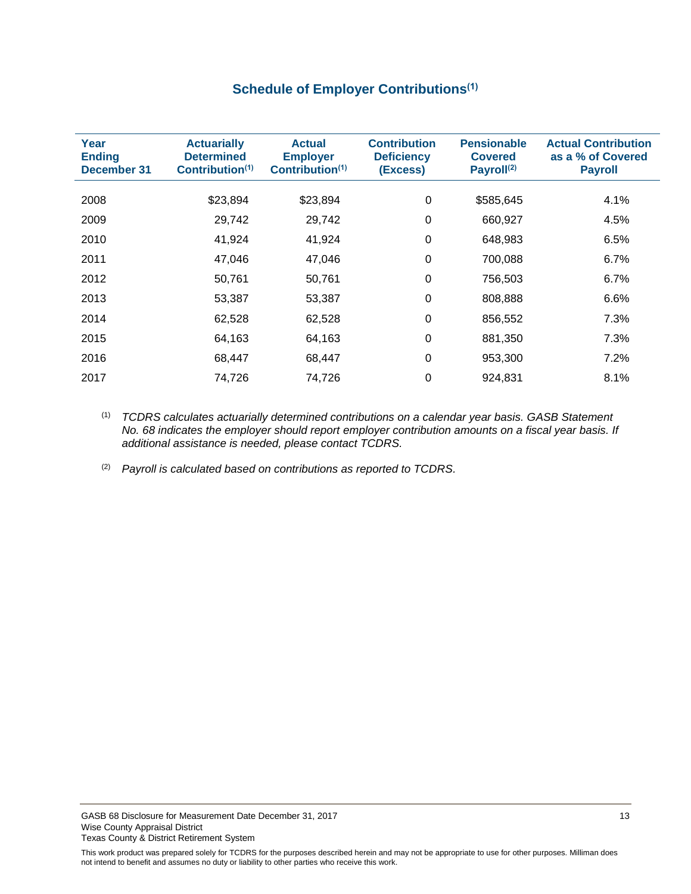# **Schedule of Employer Contributions(1)**

<span id="page-14-0"></span>

| Year<br><b>Ending</b><br><b>December 31</b> | <b>Actuarially</b><br><b>Determined</b><br>Contribution <sup>(1)</sup> | <b>Actual</b><br><b>Employer</b><br>Contribution $(1)$ | <b>Contribution</b><br><b>Deficiency</b><br>(Excess) | <b>Pensionable</b><br><b>Covered</b><br>Payroll <sup>(2)</sup> | <b>Actual Contribution</b><br>as a % of Covered<br><b>Payroll</b> |
|---------------------------------------------|------------------------------------------------------------------------|--------------------------------------------------------|------------------------------------------------------|----------------------------------------------------------------|-------------------------------------------------------------------|
| 2008                                        | \$23,894                                                               | \$23,894                                               | 0                                                    | \$585,645                                                      | 4.1%                                                              |
| 2009                                        | 29,742                                                                 | 29,742                                                 | 0                                                    | 660,927                                                        | 4.5%                                                              |
| 2010                                        | 41,924                                                                 | 41,924                                                 | 0                                                    | 648,983                                                        | 6.5%                                                              |
| 2011                                        | 47,046                                                                 | 47,046                                                 | 0                                                    | 700,088                                                        | 6.7%                                                              |
| 2012                                        | 50,761                                                                 | 50,761                                                 | 0                                                    | 756,503                                                        | 6.7%                                                              |
| 2013                                        | 53,387                                                                 | 53,387                                                 | $\Omega$                                             | 808,888                                                        | 6.6%                                                              |
| 2014                                        | 62,528                                                                 | 62,528                                                 | $\Omega$                                             | 856,552                                                        | 7.3%                                                              |
| 2015                                        | 64,163                                                                 | 64,163                                                 | 0                                                    | 881,350                                                        | 7.3%                                                              |
| 2016                                        | 68,447                                                                 | 68,447                                                 | 0                                                    | 953,300                                                        | 7.2%                                                              |
| 2017                                        | 74,726                                                                 | 74,726                                                 | 0                                                    | 924,831                                                        | 8.1%                                                              |

(1) *TCDRS calculates actuarially determined contributions on a calendar year basis. GASB Statement No. 68 indicates the employer should report employer contribution amounts on a fiscal year basis. If additional assistance is needed, please contact TCDRS.*

(2) *Payroll is calculated based on contributions as reported to TCDRS.*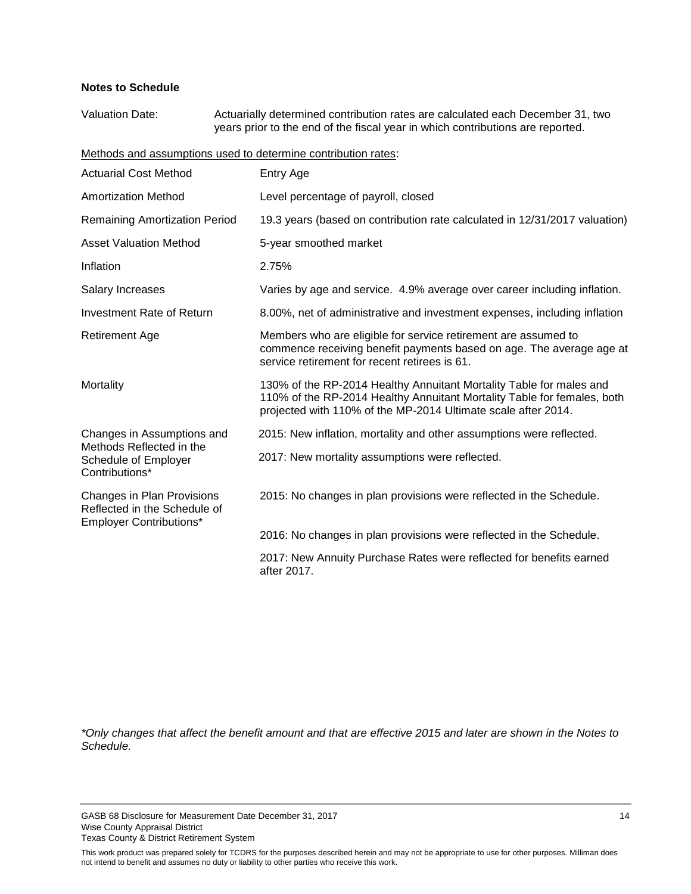#### **Notes to Schedule**

Valuation Date: Actuarially determined contribution rates are calculated each December 31, two years prior to the end of the fiscal year in which contributions are reported.

Methods and assumptions used to determine contribution rates:

| <b>Actuarial Cost Method</b>                                                                 | Entry Age                                                                                                                                                                                                       |
|----------------------------------------------------------------------------------------------|-----------------------------------------------------------------------------------------------------------------------------------------------------------------------------------------------------------------|
| <b>Amortization Method</b>                                                                   | Level percentage of payroll, closed                                                                                                                                                                             |
| <b>Remaining Amortization Period</b>                                                         | 19.3 years (based on contribution rate calculated in 12/31/2017 valuation)                                                                                                                                      |
| <b>Asset Valuation Method</b>                                                                | 5-year smoothed market                                                                                                                                                                                          |
| Inflation                                                                                    | 2.75%                                                                                                                                                                                                           |
| <b>Salary Increases</b>                                                                      | Varies by age and service. 4.9% average over career including inflation.                                                                                                                                        |
| Investment Rate of Return                                                                    | 8.00%, net of administrative and investment expenses, including inflation                                                                                                                                       |
| <b>Retirement Age</b>                                                                        | Members who are eligible for service retirement are assumed to<br>commence receiving benefit payments based on age. The average age at<br>service retirement for recent retirees is 61.                         |
| Mortality                                                                                    | 130% of the RP-2014 Healthy Annuitant Mortality Table for males and<br>110% of the RP-2014 Healthy Annuitant Mortality Table for females, both<br>projected with 110% of the MP-2014 Ultimate scale after 2014. |
| Changes in Assumptions and                                                                   | 2015: New inflation, mortality and other assumptions were reflected.                                                                                                                                            |
| Methods Reflected in the<br>Schedule of Employer<br>Contributions*                           | 2017: New mortality assumptions were reflected.                                                                                                                                                                 |
| Changes in Plan Provisions<br>Reflected in the Schedule of<br><b>Employer Contributions*</b> | 2015: No changes in plan provisions were reflected in the Schedule.                                                                                                                                             |
|                                                                                              | 2016: No changes in plan provisions were reflected in the Schedule.                                                                                                                                             |
|                                                                                              | 2017: New Annuity Purchase Rates were reflected for benefits earned<br>after 2017.                                                                                                                              |

*\*Only changes that affect the benefit amount and that are effective 2015 and later are shown in the Notes to Schedule.*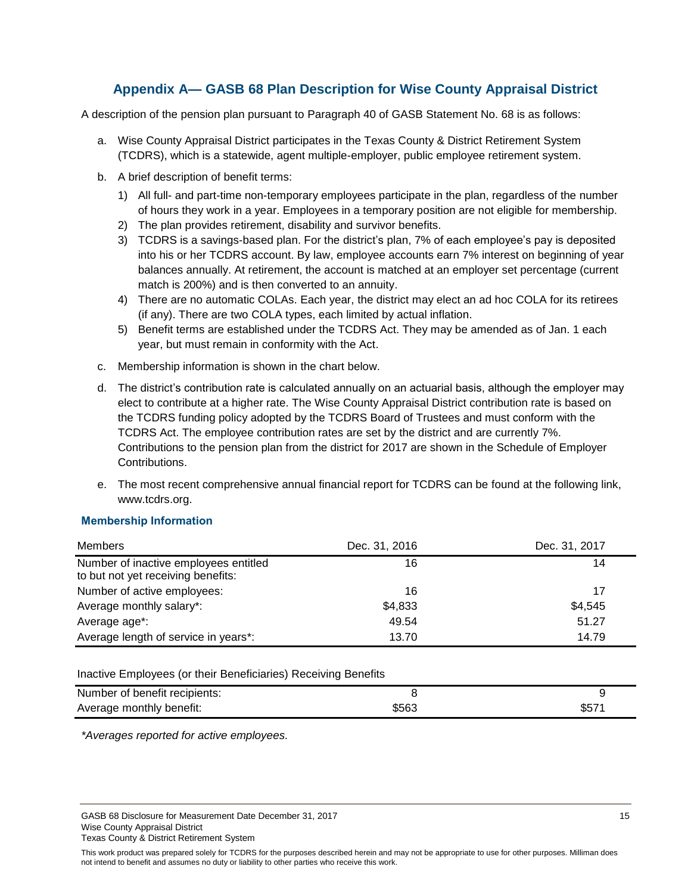### **Appendix A— GASB 68 Plan Description for Wise County Appraisal District**

<span id="page-16-0"></span>A description of the pension plan pursuant to Paragraph 40 of GASB Statement No. 68 is as follows:

- a. Wise County Appraisal District participates in the Texas County & District Retirement System (TCDRS), which is a statewide, agent multiple-employer, public employee retirement system.
- b. A brief description of benefit terms:
	- 1) All full- and part-time non-temporary employees participate in the plan, regardless of the number of hours they work in a year. Employees in a temporary position are not eligible for membership.
	- 2) The plan provides retirement, disability and survivor benefits.
	- 3) TCDRS is a savings-based plan. For the district's plan, 7% of each employee's pay is deposited into his or her TCDRS account. By law, employee accounts earn 7% interest on beginning of year balances annually. At retirement, the account is matched at an employer set percentage (current match is 200%) and is then converted to an annuity.
	- 4) There are no automatic COLAs. Each year, the district may elect an ad hoc COLA for its retirees (if any). There are two COLA types, each limited by actual inflation.
	- 5) Benefit terms are established under the TCDRS Act. They may be amended as of Jan. 1 each year, but must remain in conformity with the Act.
- c. Membership information is shown in the chart below.
- d. The district's contribution rate is calculated annually on an actuarial basis, although the employer may elect to contribute at a higher rate. The Wise County Appraisal District contribution rate is based on the TCDRS funding policy adopted by the TCDRS Board of Trustees and must conform with the TCDRS Act. The employee contribution rates are set by the district and are currently 7%. Contributions to the pension plan from the district for 2017 are shown in the Schedule of Employer Contributions.
- e. The most recent comprehensive annual financial report for TCDRS can be found at the following link, www.tcdrs.org.

#### **Membership Information**

| Members                                                                     | Dec. 31, 2016 | Dec. 31, 2017 |  |
|-----------------------------------------------------------------------------|---------------|---------------|--|
| Number of inactive employees entitled<br>to but not yet receiving benefits: | 16            | 14            |  |
| Number of active employees:                                                 | 16            | 17            |  |
| Average monthly salary*:                                                    | \$4,833       | \$4,545       |  |
| Average age*:                                                               | 49.54         | 51.27         |  |
| Average length of service in years*:                                        | 13.70         | 14.79         |  |

#### Inactive Employees (or their Beneficiaries) Receiving Benefits

| Number of benefit recipients: |       |       |
|-------------------------------|-------|-------|
| Average monthly benefit:      | \$563 | \$571 |

*\*Averages reported for active employees.*

GASB 68 Disclosure for Measurement Date December 31, 2017 15 Wise County Appraisal District Texas County & District Retirement System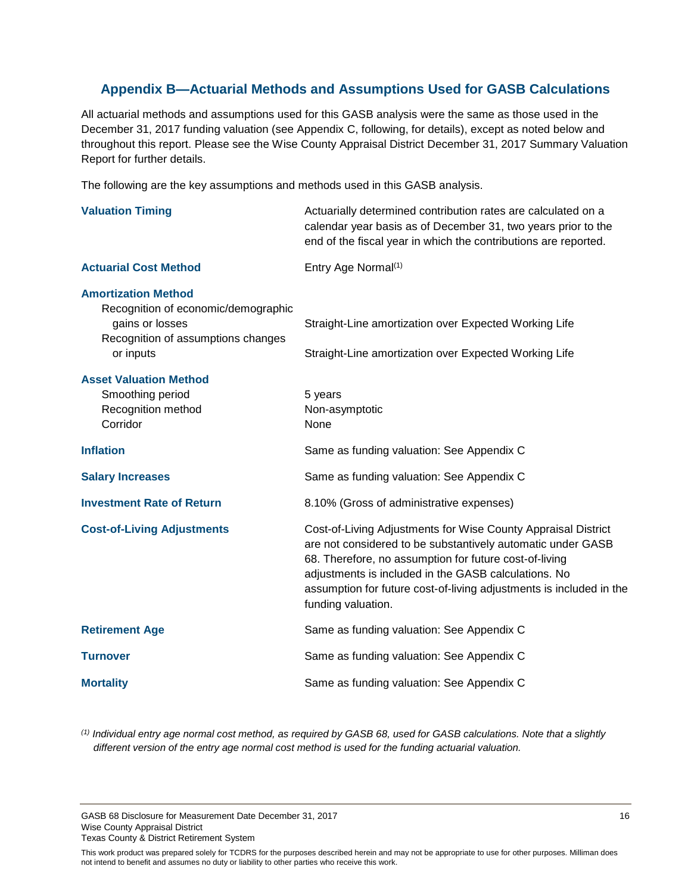### <span id="page-17-0"></span>**Appendix B—Actuarial Methods and Assumptions Used for GASB Calculations**

All actuarial methods and assumptions used for this GASB analysis were the same as those used in the December 31, 2017 funding valuation (see Appendix C, following, for details), except as noted below and throughout this report. Please see the Wise County Appraisal District December 31, 2017 Summary Valuation Report for further details.

The following are the key assumptions and methods used in this GASB analysis.

| <b>Valuation Timing</b>                                                                                                                 | Actuarially determined contribution rates are calculated on a<br>calendar year basis as of December 31, two years prior to the<br>end of the fiscal year in which the contributions are reported.                                                                                                                                           |
|-----------------------------------------------------------------------------------------------------------------------------------------|---------------------------------------------------------------------------------------------------------------------------------------------------------------------------------------------------------------------------------------------------------------------------------------------------------------------------------------------|
| <b>Actuarial Cost Method</b>                                                                                                            | Entry Age Normal <sup>(1)</sup>                                                                                                                                                                                                                                                                                                             |
| <b>Amortization Method</b><br>Recognition of economic/demographic<br>gains or losses<br>Recognition of assumptions changes<br>or inputs | Straight-Line amortization over Expected Working Life<br>Straight-Line amortization over Expected Working Life                                                                                                                                                                                                                              |
| <b>Asset Valuation Method</b><br>Smoothing period<br>Recognition method<br>Corridor                                                     | 5 years<br>Non-asymptotic<br>None                                                                                                                                                                                                                                                                                                           |
| <b>Inflation</b>                                                                                                                        | Same as funding valuation: See Appendix C                                                                                                                                                                                                                                                                                                   |
| <b>Salary Increases</b>                                                                                                                 | Same as funding valuation: See Appendix C                                                                                                                                                                                                                                                                                                   |
| <b>Investment Rate of Return</b>                                                                                                        | 8.10% (Gross of administrative expenses)                                                                                                                                                                                                                                                                                                    |
| <b>Cost-of-Living Adjustments</b>                                                                                                       | Cost-of-Living Adjustments for Wise County Appraisal District<br>are not considered to be substantively automatic under GASB<br>68. Therefore, no assumption for future cost-of-living<br>adjustments is included in the GASB calculations. No<br>assumption for future cost-of-living adjustments is included in the<br>funding valuation. |
| <b>Retirement Age</b>                                                                                                                   | Same as funding valuation: See Appendix C                                                                                                                                                                                                                                                                                                   |
| <b>Turnover</b>                                                                                                                         | Same as funding valuation: See Appendix C                                                                                                                                                                                                                                                                                                   |
| <b>Mortality</b>                                                                                                                        | Same as funding valuation: See Appendix C                                                                                                                                                                                                                                                                                                   |

*(1) Individual entry age normal cost method, as required by GASB 68, used for GASB calculations. Note that a slightly different version of the entry age normal cost method is used for the funding actuarial valuation.* 

GASB 68 Disclosure for Measurement Date December 31, 2017 16 16 16 17 18 18 19 19 19 19 19 19 19 19 19 19 19 1 Wise County Appraisal District Texas County & District Retirement System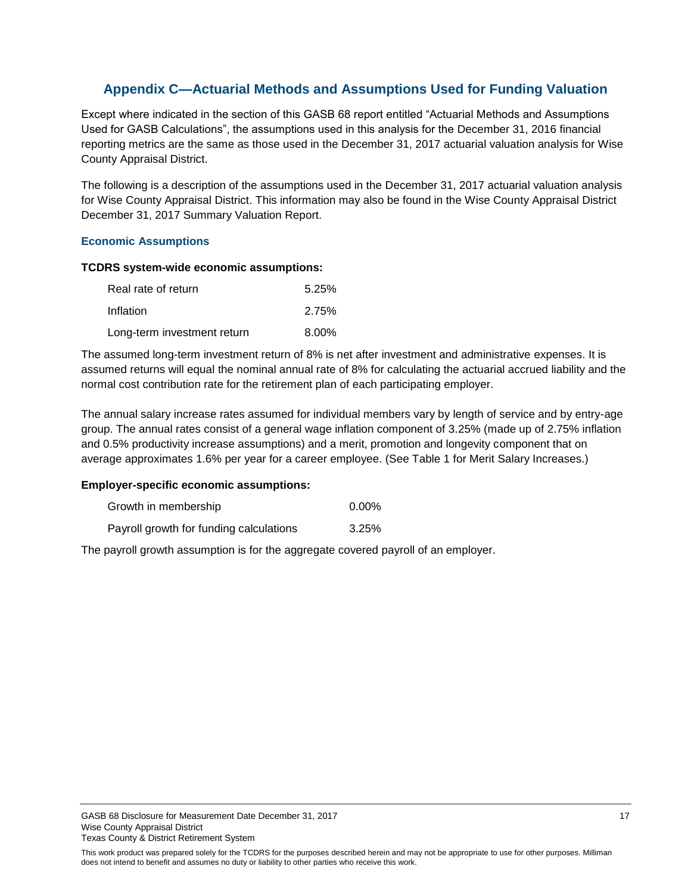### <span id="page-18-0"></span>**Appendix C—Actuarial Methods and Assumptions Used for Funding Valuation**

Except where indicated in the section of this GASB 68 report entitled "Actuarial Methods and Assumptions Used for GASB Calculations", the assumptions used in this analysis for the December 31, 2016 financial reporting metrics are the same as those used in the December 31, 2017 actuarial valuation analysis for Wise County Appraisal District.

The following is a description of the assumptions used in the December 31, 2017 actuarial valuation analysis for Wise County Appraisal District. This information may also be found in the Wise County Appraisal District December 31, 2017 Summary Valuation Report.

#### **Economic Assumptions**

#### **TCDRS system-wide economic assumptions:**

| Real rate of return         | 5.25%    |
|-----------------------------|----------|
| Inflation                   | 2.75%    |
| Long-term investment return | $8.00\%$ |

The assumed long-term investment return of 8% is net after investment and administrative expenses. It is assumed returns will equal the nominal annual rate of 8% for calculating the actuarial accrued liability and the normal cost contribution rate for the retirement plan of each participating employer.

The annual salary increase rates assumed for individual members vary by length of service and by entry-age group. The annual rates consist of a general wage inflation component of 3.25% (made up of 2.75% inflation and 0.5% productivity increase assumptions) and a merit, promotion and longevity component that on average approximates 1.6% per year for a career employee. (See Table 1 for Merit Salary Increases.)

#### **Employer-specific economic assumptions:**

| Growth in membership                    | 0.00% |
|-----------------------------------------|-------|
| Payroll growth for funding calculations | 3.25% |

The payroll growth assumption is for the aggregate covered payroll of an employer.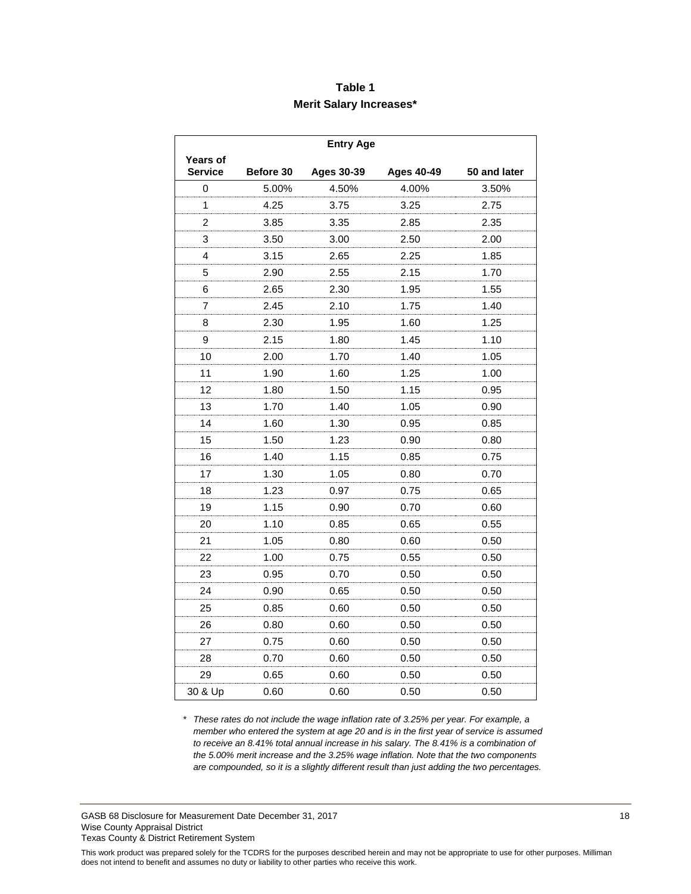### **Table 1 Merit Salary Increases\***

|                            | <b>Entry Age</b> |                   |                   |              |  |  |
|----------------------------|------------------|-------------------|-------------------|--------------|--|--|
| Years of<br><b>Service</b> | Before 30        | <b>Ages 30-39</b> | <b>Ages 40-49</b> | 50 and later |  |  |
| 0                          | 5.00%            | 4.50%             | 4.00%             | 3.50%        |  |  |
| 1                          | 4.25             | 3.75              | 3.25              | 2.75         |  |  |
| 2                          | 3.85             | 3.35              | 2.85              | 2.35         |  |  |
| 3                          | 3.50             | 3.00              | 2.50              | 2.00         |  |  |
| 4                          | 3.15             | 2.65              | 2.25              | 1.85         |  |  |
| 5                          | 2.90             | 2.55              | 2.15              | 1.70         |  |  |
| 6                          | 2.65             | 2.30              | 1.95              | 1.55         |  |  |
| 7                          | 2.45             | 2.10              | 1.75              | 1.40         |  |  |
| 8                          | 2.30             | 1.95              | 1.60              | 1.25         |  |  |
| 9                          | 2.15             | 1.80              | 1.45              | 1.10         |  |  |
| 10                         | 2.00             | 1.70              | 1.40              | 1.05         |  |  |
| 11                         | 1.90             | 1.60              | 1.25              | 1.00         |  |  |
| 12                         | 1.80             | 1.50              | 1.15              | 0.95         |  |  |
| 13                         | 1.70             | 1.40              | 1.05              | 0.90         |  |  |
| 14                         | 1.60             | 1.30              | 0.95              | 0.85         |  |  |
| 15                         | 1.50             | 1.23              | 0.90              | 0.80         |  |  |
| 16                         | 1.40             | 1.15              | 0.85              | 0.75         |  |  |
| 17                         | 1.30             | 1.05              | 0.80              | 0.70         |  |  |
| 18                         | 1.23             | 0.97              | 0.75              | 0.65         |  |  |
| 19                         | 1.15             | 0.90              | 0.70              | 0.60         |  |  |
| 20                         | 1.10             | 0.85              | 0.65              | 0.55         |  |  |
| 21                         | 1.05             | 0.80              | 0.60              | 0.50         |  |  |
| 22                         | 1.00             | 0.75              | 0.55              | 0.50         |  |  |
| 23                         | 0.95             | 0.70              | 0.50              | 0.50         |  |  |
| 24                         | 0.90             | 0.65              | 0.50              | 0.50         |  |  |
| 25                         | 0.85             | 0.60              | 0.50              | 0.50         |  |  |
| 26                         | 0.80             | 0.60              | 0.50              | 0.50         |  |  |
| 27                         | 0.75             | 0.60              | 0.50              | 0.50         |  |  |
| 28                         | 0.70             | 0.60              | 0.50              | 0.50         |  |  |
| 29                         | 0.65             | 0.60              | 0.50              | 0.50         |  |  |
| 30 & Up                    | 0.60             | 0.60              | 0.50              | 0.50         |  |  |

*\* These rates do not include the wage inflation rate of 3.25% per year. For example, a member who entered the system at age 20 and is in the first year of service is assumed to receive an 8.41% total annual increase in his salary. The 8.41% is a combination of the 5.00% merit increase and the 3.25% wage inflation. Note that the two components are compounded, so it is a slightly different result than just adding the two percentages.*

GASB 68 Disclosure for Measurement Date December 31, 2017 18 18 Wise County Appraisal District Texas County & District Retirement System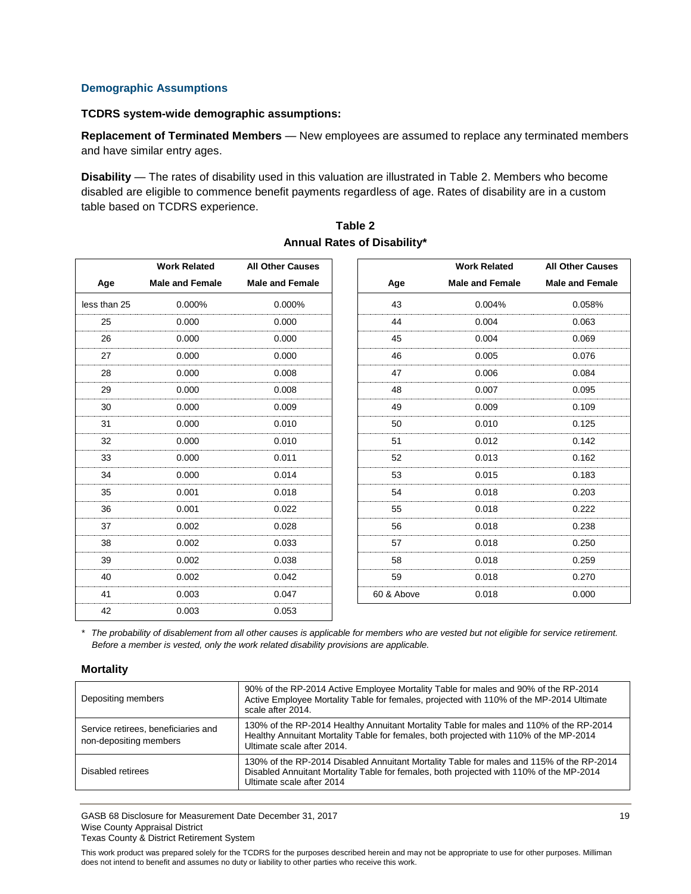#### **Demographic Assumptions**

#### **TCDRS system-wide demographic assumptions:**

**Replacement of Terminated Members** — New employees are assumed to replace any terminated members and have similar entry ages.

**Disability** — The rates of disability used in this valuation are illustrated in Table 2. Members who become disabled are eligible to commence benefit payments regardless of age. Rates of disability are in a custom table based on TCDRS experience.

|              | <b>Work Related</b>    | <b>All Other Causes</b> |            | <b>Work Related</b>    | <b>All Other Causes</b> |
|--------------|------------------------|-------------------------|------------|------------------------|-------------------------|
| Age          | <b>Male and Female</b> | <b>Male and Female</b>  | Age        | <b>Male and Female</b> | <b>Male and Female</b>  |
| less than 25 | 0.000%                 | 0.000%                  | 43         | 0.004%                 | 0.058%                  |
| 25           | 0.000                  | 0.000                   | 44         | 0.004                  | 0.063                   |
| 26           | 0.000                  | 0.000                   | 45         | 0.004                  | 0.069                   |
| 27           | 0.000                  | 0.000                   | 46         | 0.005                  | 0.076                   |
| 28           | 0.000                  | 0.008                   | 47         | 0.006                  | 0.084                   |
| 29           | 0.000                  | 0.008                   | 48         | 0.007                  | 0.095                   |
| 30           | 0.000                  | 0.009                   | 49         | 0.009                  | 0.109                   |
| 31           | 0.000                  | 0.010                   | 50         | 0.010                  | 0.125                   |
| 32           | 0.000                  | 0.010                   | 51         | 0.012                  | 0.142                   |
| 33           | 0.000                  | 0.011                   | 52         | 0.013                  | 0.162                   |
| 34           | 0.000                  | 0.014                   | 53         | 0.015                  | 0.183                   |
| 35           | 0.001                  | 0.018                   | 54         | 0.018                  | 0.203                   |
| 36           | 0.001                  | 0.022                   | 55         | 0.018                  | 0.222                   |
| 37           | 0.002                  | 0.028                   | 56         | 0.018                  | 0.238                   |
| 38           | 0.002                  | 0.033                   | 57         | 0.018                  | 0.250                   |
| 39           | 0.002                  | 0.038                   | 58         | 0.018                  | 0.259                   |
| 40           | 0.002                  | 0.042                   | 59         | 0.018                  | 0.270                   |
| 41           | 0.003                  | 0.047                   | 60 & Above | 0.018                  | 0.000                   |
| 42           | 0.003                  | 0.053                   |            |                        |                         |

#### **Table 2 Annual Rates of Disability\***

*\* The probability of disablement from all other causes is applicable for members who are vested but not eligible for service retirement. Before a member is vested, only the work related disability provisions are applicable.*

#### **Mortality**

| Depositing members                                            | 90% of the RP-2014 Active Employee Mortality Table for males and 90% of the RP-2014<br>Active Employee Mortality Table for females, projected with 110% of the MP-2014 Ultimate<br>scale after 2014.             |
|---------------------------------------------------------------|------------------------------------------------------------------------------------------------------------------------------------------------------------------------------------------------------------------|
| Service retirees, beneficiaries and<br>non-depositing members | 130% of the RP-2014 Healthy Annuitant Mortality Table for males and 110% of the RP-2014<br>Healthy Annuitant Mortality Table for females, both projected with 110% of the MP-2014<br>Ultimate scale after 2014.  |
| Disabled retirees                                             | 130% of the RP-2014 Disabled Annuitant Mortality Table for males and 115% of the RP-2014<br>Disabled Annuitant Mortality Table for females, both projected with 110% of the MP-2014<br>Ultimate scale after 2014 |

GASB 68 Disclosure for Measurement Date December 31, 2017 19 Wise County Appraisal District Texas County & District Retirement System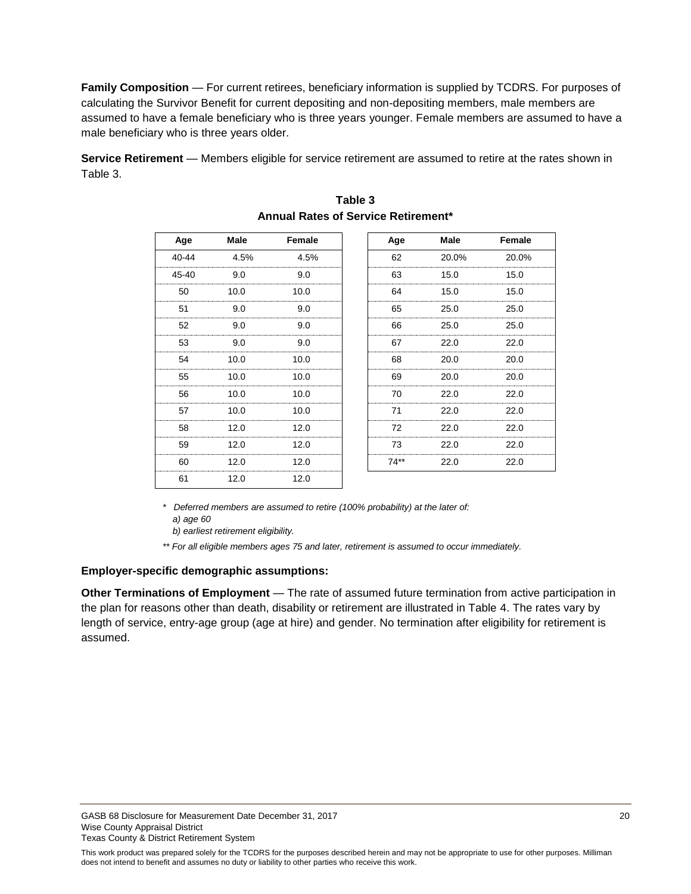**Family Composition** — For current retirees, beneficiary information is supplied by TCDRS. For purposes of calculating the Survivor Benefit for current depositing and non-depositing members, male members are assumed to have a female beneficiary who is three years younger. Female members are assumed to have a male beneficiary who is three years older.

**Service Retirement** — Members eligible for service retirement are assumed to retire at the rates shown in Table 3.

| Age   | Male | Female | Age    | Male  | Female |
|-------|------|--------|--------|-------|--------|
| 40-44 | 4.5% | 4.5%   | 62     | 20.0% | 20.0%  |
| 45-40 | 9.0  | 9.0    | 63     | 15.0  | 15.0   |
| 50    | 10.0 | 10.0   | 64     | 15.0  | 15.0   |
| 51    | 9.0  | 9.0    | 65     | 25.0  | 25.0   |
| 52    | 9.0  | 9.0    | 66     | 25.0  | 25.0   |
| 53    | 9.0  | 9.0    | 67     | 22.0  | 22.0   |
| 54    | 10.0 | 10.0   | 68     | 20.0  | 20.0   |
| 55    | 10.0 | 10.0   | 69     | 20.0  | 20.0   |
| 56    | 10.0 | 10.0   | 70     | 22.0  | 22.0   |
| 57    | 10.0 | 10.0   | 71     | 22.0  | 22.0   |
| 58    | 12.0 | 12.0   | 72     | 22.0  | 22.0   |
| 59    | 12.0 | 12.0   | 73     | 22.0  | 22.0   |
| 60    | 12.0 | 12.0   | $74**$ | 22.0  | 22.0   |
| 61    | 12.0 | 12.0   |        |       |        |

### **Table 3 Annual Rates of Service Retirement\***

*\* Deferred members are assumed to retire (100% probability) at the later of: a) age 60*

 *b) earliest retirement eligibility.*

*\*\* For all eligible members ages 75 and later, retirement is assumed to occur immediately.*

#### **Employer-specific demographic assumptions:**

**Other Terminations of Employment** — The rate of assumed future termination from active participation in the plan for reasons other than death, disability or retirement are illustrated in Table 4. The rates vary by length of service, entry-age group (age at hire) and gender. No termination after eligibility for retirement is assumed.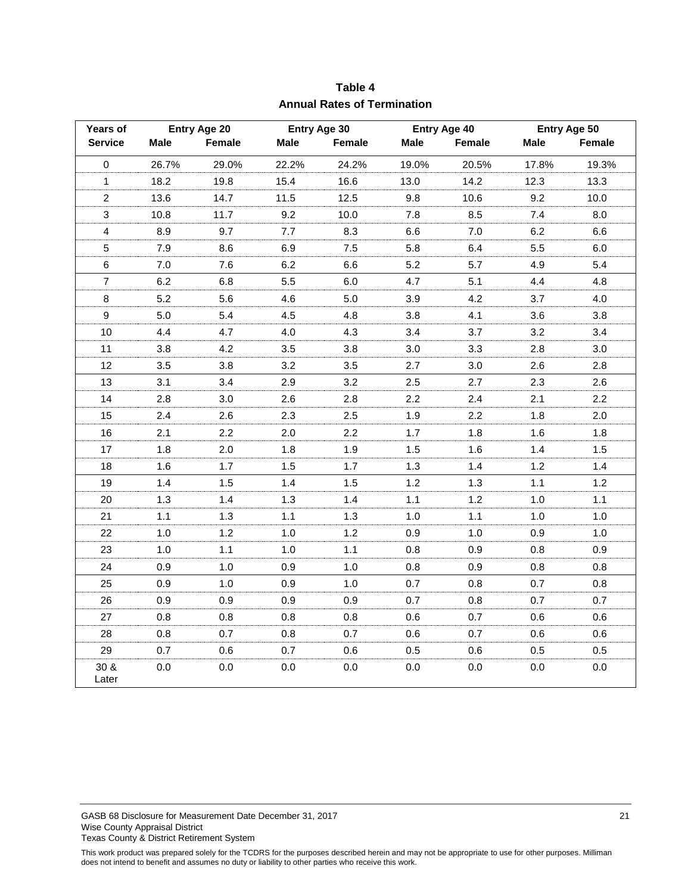| <b>Years of</b>  | Entry Age 20 |        | Entry Age 30 |        | Entry Age 40 |        | Entry Age 50 |         |
|------------------|--------------|--------|--------------|--------|--------------|--------|--------------|---------|
| <b>Service</b>   | Male         | Female | Male         | Female | <b>Male</b>  | Female | Male         | Female  |
| $\pmb{0}$        | 26.7%        | 29.0%  | 22.2%        | 24.2%  | 19.0%        | 20.5%  | 17.8%        | 19.3%   |
| $\mathbf{1}$     | 18.2         | 19.8   | 15.4         | 16.6   | 13.0         | 14.2   | 12.3         | 13.3    |
| $\overline{c}$   | 13.6         | 14.7   | 11.5         | 12.5   | 9.8          | 10.6   | 9.2          | 10.0    |
| $\mathfrak{Z}$   | 10.8         | 11.7   | 9.2          | 10.0   | 7.8          | 8.5    | 7.4          | 8.0     |
| $\overline{4}$   | 8.9          | 9.7    | 7.7          | 8.3    | 6.6          | $7.0$  | 6.2          | 6.6     |
| $\sqrt{5}$       | 7.9          | 8.6    | 6.9          | 7.5    | 5.8          | 6.4    | 5.5          | $6.0\,$ |
| $\,6$            | 7.0          | 7.6    | 6.2          | 6.6    | 5.2          | 5.7    | 4.9          | 5.4     |
| $\overline{7}$   | 6.2          | 6.8    | 5.5          | 6.0    | 4.7          | 5.1    | 4.4          | 4.8     |
| $\bf 8$          | 5.2          | 5.6    | 4.6          | $5.0$  | 3.9          | 4.2    | 3.7          | 4.0     |
| $\boldsymbol{9}$ | 5.0          | 5.4    | 4.5          | 4.8    | 3.8          | 4.1    | 3.6          | 3.8     |
| 10               | 4.4          | 4.7    | 4.0          | 4.3    | 3.4          | 3.7    | 3.2          | 3.4     |
| 11               | 3.8          | 4.2    | 3.5          | 3.8    | 3.0          | 3.3    | 2.8          | 3.0     |
| 12               | 3.5          | 3.8    | 3.2          | 3.5    | 2.7          | 3.0    | 2.6          | 2.8     |
| 13               | 3.1          | 3.4    | 2.9          | 3.2    | 2.5          | 2.7    | 2.3          | 2.6     |
| 14               | 2.8          | 3.0    | 2.6          | 2.8    | 2.2          | 2.4    | 2.1          | 2.2     |
| 15               | 2.4          | 2.6    | 2.3          | 2.5    | 1.9          | 2.2    | 1.8          | 2.0     |
| 16               | 2.1          | 2.2    | 2.0          | 2.2    | 1.7          | 1.8    | 1.6          | 1.8     |
| 17               | 1.8          | 2.0    | 1.8          | 1.9    | 1.5          | 1.6    | 1.4          | 1.5     |
| 18               | 1.6          | 1.7    | 1.5          | 1.7    | 1.3          | 1.4    | $1.2$        | $1.4$   |
| 19               | 1.4          | 1.5    | 1.4          | 1.5    | 1.2          | 1.3    | $1.1$        | 1.2     |
| 20               | 1.3          | 1.4    | 1.3          | 1.4    | 1.1          | 1.2    | 1.0          | $1.1$   |
| 21               | 1.1          | 1.3    | $1.1$        | 1.3    | 1.0          | 1.1    | 1.0          | 1.0     |
| 22               | 1.0          | 1.2    | 1.0          | $1.2$  | 0.9          | $1.0$  | 0.9          | 1.0     |
| 23               | 1.0          | 1.1    | 1.0          | 1.1    | 0.8          | 0.9    | 0.8          | 0.9     |
| 24               | 0.9          | 1.0    | 0.9          | 1.0    | 0.8          | 0.9    | 0.8          | 0.8     |
| 25               | 0.9          | 1.0    | 0.9          | 1.0    | 0.7          | 0.8    | 0.7          | 0.8     |
| 26               | 0.9          | 0.9    | 0.9          | 0.9    | 0.7          | 0.8    | 0.7          | 0.7     |
| 27               | 0.8          | 0.8    | 0.8          | 0.8    | 0.6          | 0.7    | 0.6          | 0.6     |
| 28               | 0.8          | 0.7    | 0.8          | 0.7    | 0.6          | 0.7    | 0.6          | 0.6     |
| 29               | 0.7          | 0.6    | 0.7          | 0.6    | 0.5          | 0.6    | 0.5          | 0.5     |
| 30 &<br>Later    | 0.0          | 0.0    | 0.0          | 0.0    | 0.0          | 0.0    | 0.0          | 0.0     |

**Table 4 Annual Rates of Termination**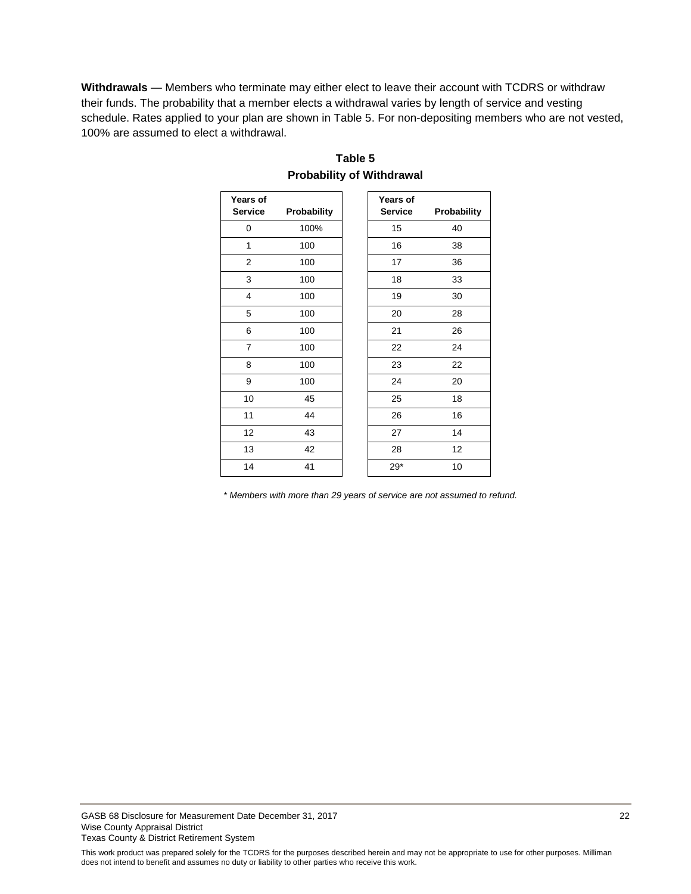**Withdrawals** — Members who terminate may either elect to leave their account with TCDRS or withdraw their funds. The probability that a member elects a withdrawal varies by length of service and vesting schedule. Rates applied to your plan are shown in Table 5. For non-depositing members who are not vested, 100% are assumed to elect a withdrawal.

| Years of<br><b>Service</b> | Probability | Years of<br><b>Service</b> | Probability |
|----------------------------|-------------|----------------------------|-------------|
| 0                          | 100%        | 15                         | 40          |
| 1                          | 100         | 16                         | 38          |
| $\overline{2}$             | 100         | 17                         | 36          |
| 3                          | 100         | 18                         | 33          |
| 4                          | 100         | 19                         | 30          |
| 5                          | 100         | 20                         | 28          |
| 6                          | 100         | 21                         | 26          |
| $\overline{7}$             | 100         | 22                         | 24          |
| 8                          | 100         | 23                         | 22          |
| 9                          | 100         | 24                         | 20          |
| 10                         | 45          | 25                         | 18          |
| 11                         | 44          | 26                         | 16          |
| 12                         | 43          | 27                         | 14          |
| 13                         | 42          | 28                         | 12          |
| 14                         | 41          | $29*$                      | 10          |

### **Table 5 Probability of Withdrawal**

*\* Members with more than 29 years of service are not assumed to refund.*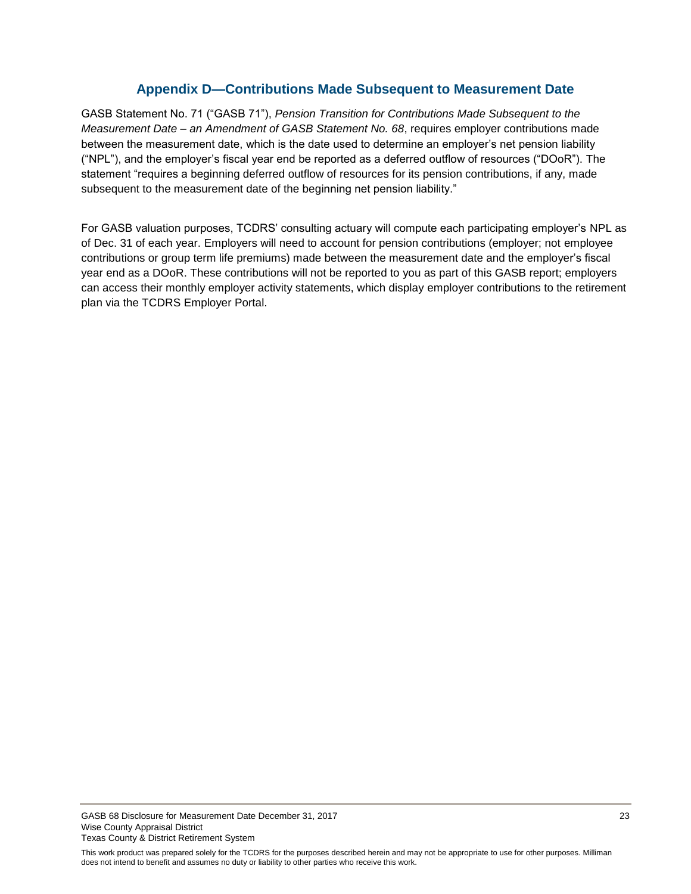### **Appendix D—Contributions Made Subsequent to Measurement Date**

<span id="page-24-0"></span>GASB Statement No. 71 ("GASB 71"), *Pension Transition for Contributions Made Subsequent to the Measurement Date – an Amendment of GASB Statement No. 68*, requires employer contributions made between the measurement date, which is the date used to determine an employer's net pension liability ("NPL"), and the employer's fiscal year end be reported as a deferred outflow of resources ("DOoR"). The statement "requires a beginning deferred outflow of resources for its pension contributions, if any, made subsequent to the measurement date of the beginning net pension liability."

For GASB valuation purposes, TCDRS' consulting actuary will compute each participating employer's NPL as of Dec. 31 of each year. Employers will need to account for pension contributions (employer; not employee contributions or group term life premiums) made between the measurement date and the employer's fiscal year end as a DOoR. These contributions will not be reported to you as part of this GASB report; employers can access their monthly employer activity statements, which display employer contributions to the retirement plan via the TCDRS Employer Portal.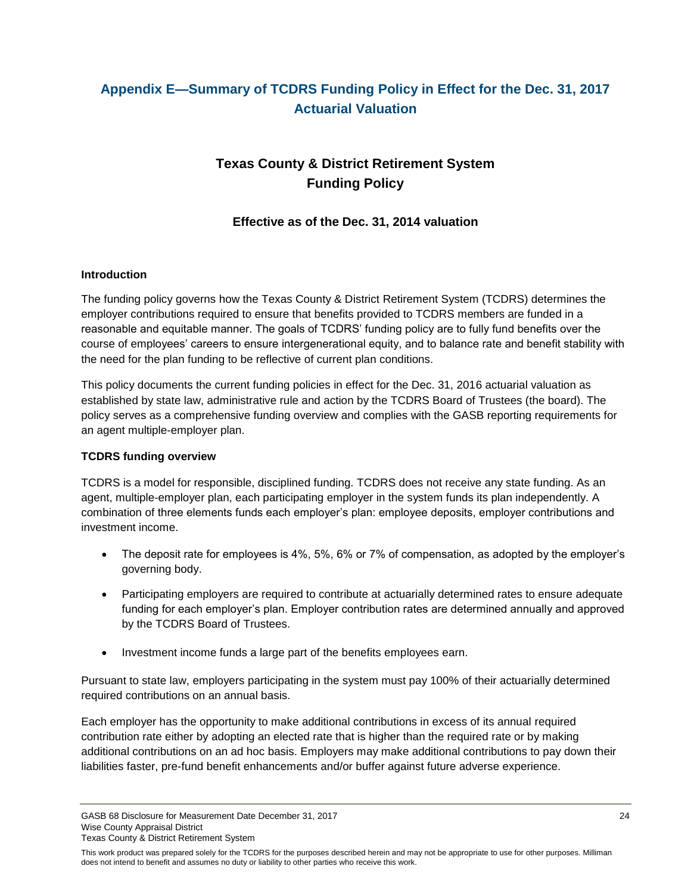## <span id="page-25-0"></span>**Appendix E—Summary of TCDRS Funding Policy in Effect for the Dec. 31, 2017 Actuarial Valuation**

## **Texas County & District Retirement System Funding Policy**

### **Effective as of the Dec. 31, 2014 valuation**

#### **Introduction**

The funding policy governs how the Texas County & District Retirement System (TCDRS) determines the employer contributions required to ensure that benefits provided to TCDRS members are funded in a reasonable and equitable manner. The goals of TCDRS' funding policy are to fully fund benefits over the course of employees' careers to ensure intergenerational equity, and to balance rate and benefit stability with the need for the plan funding to be reflective of current plan conditions.

This policy documents the current funding policies in effect for the Dec. 31, 2016 actuarial valuation as established by state law, administrative rule and action by the TCDRS Board of Trustees (the board). The policy serves as a comprehensive funding overview and complies with the GASB reporting requirements for an agent multiple-employer plan.

#### **TCDRS funding overview**

TCDRS is a model for responsible, disciplined funding. TCDRS does not receive any state funding. As an agent, multiple-employer plan, each participating employer in the system funds its plan independently. A combination of three elements funds each employer's plan: employee deposits, employer contributions and investment income.

- The deposit rate for employees is 4%, 5%, 6% or 7% of compensation, as adopted by the employer's governing body.
- Participating employers are required to contribute at actuarially determined rates to ensure adequate funding for each employer's plan. Employer contribution rates are determined annually and approved by the TCDRS Board of Trustees.
- Investment income funds a large part of the benefits employees earn.

Pursuant to state law, employers participating in the system must pay 100% of their actuarially determined required contributions on an annual basis.

Each employer has the opportunity to make additional contributions in excess of its annual required contribution rate either by adopting an elected rate that is higher than the required rate or by making additional contributions on an ad hoc basis. Employers may make additional contributions to pay down their liabilities faster, pre-fund benefit enhancements and/or buffer against future adverse experience.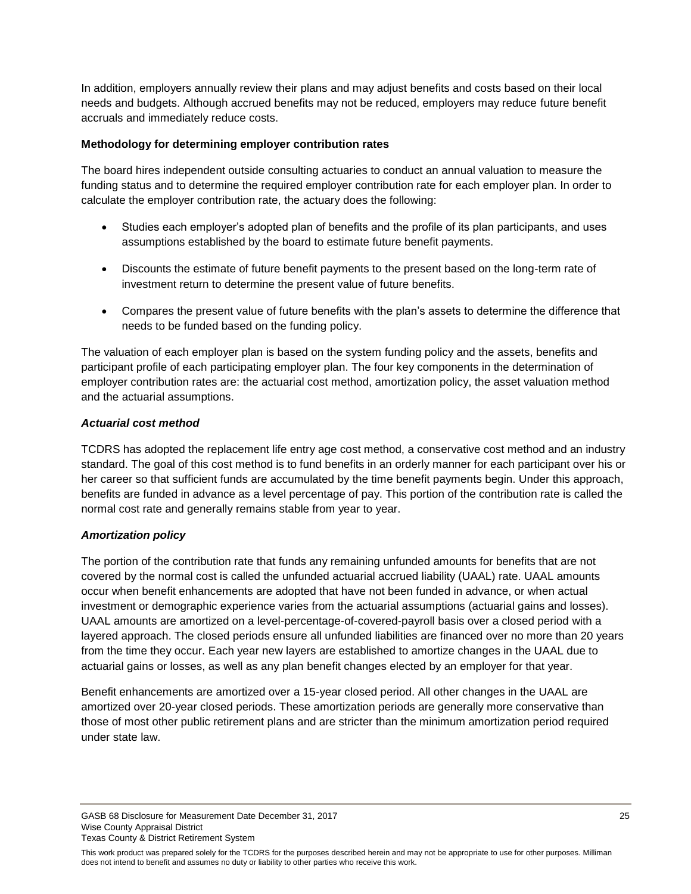In addition, employers annually review their plans and may adjust benefits and costs based on their local needs and budgets. Although accrued benefits may not be reduced, employers may reduce future benefit accruals and immediately reduce costs.

#### **Methodology for determining employer contribution rates**

The board hires independent outside consulting actuaries to conduct an annual valuation to measure the funding status and to determine the required employer contribution rate for each employer plan. In order to calculate the employer contribution rate, the actuary does the following:

- Studies each employer's adopted plan of benefits and the profile of its plan participants, and uses assumptions established by the board to estimate future benefit payments.
- Discounts the estimate of future benefit payments to the present based on the long-term rate of investment return to determine the present value of future benefits.
- Compares the present value of future benefits with the plan's assets to determine the difference that needs to be funded based on the funding policy.

The valuation of each employer plan is based on the system funding policy and the assets, benefits and participant profile of each participating employer plan. The four key components in the determination of employer contribution rates are: the actuarial cost method, amortization policy, the asset valuation method and the actuarial assumptions.

#### *Actuarial cost method*

TCDRS has adopted the replacement life entry age cost method, a conservative cost method and an industry standard. The goal of this cost method is to fund benefits in an orderly manner for each participant over his or her career so that sufficient funds are accumulated by the time benefit payments begin. Under this approach, benefits are funded in advance as a level percentage of pay. This portion of the contribution rate is called the normal cost rate and generally remains stable from year to year.

#### *Amortization policy*

The portion of the contribution rate that funds any remaining unfunded amounts for benefits that are not covered by the normal cost is called the unfunded actuarial accrued liability (UAAL) rate. UAAL amounts occur when benefit enhancements are adopted that have not been funded in advance, or when actual investment or demographic experience varies from the actuarial assumptions (actuarial gains and losses). UAAL amounts are amortized on a level-percentage-of-covered-payroll basis over a closed period with a layered approach. The closed periods ensure all unfunded liabilities are financed over no more than 20 years from the time they occur. Each year new layers are established to amortize changes in the UAAL due to actuarial gains or losses, as well as any plan benefit changes elected by an employer for that year.

Benefit enhancements are amortized over a 15-year closed period. All other changes in the UAAL are amortized over 20-year closed periods. These amortization periods are generally more conservative than those of most other public retirement plans and are stricter than the minimum amortization period required under state law.

GASB 68 Disclosure for Measurement Date December 31, 2017 25 Wise County Appraisal District Texas County & District Retirement System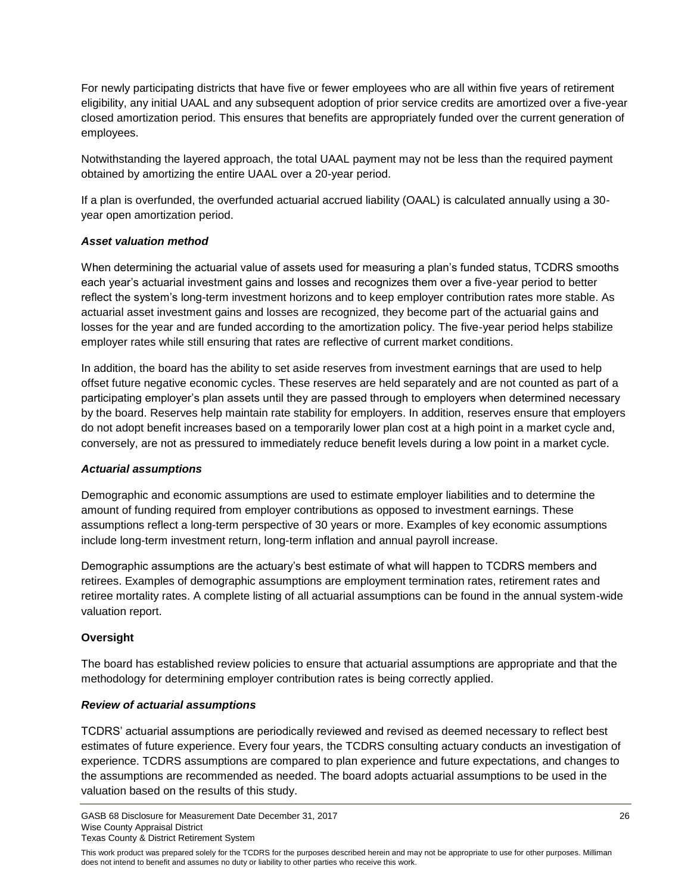For newly participating districts that have five or fewer employees who are all within five years of retirement eligibility, any initial UAAL and any subsequent adoption of prior service credits are amortized over a five-year closed amortization period. This ensures that benefits are appropriately funded over the current generation of employees.

Notwithstanding the layered approach, the total UAAL payment may not be less than the required payment obtained by amortizing the entire UAAL over a 20-year period.

If a plan is overfunded, the overfunded actuarial accrued liability (OAAL) is calculated annually using a 30 year open amortization period.

#### *Asset valuation method*

When determining the actuarial value of assets used for measuring a plan's funded status, TCDRS smooths each year's actuarial investment gains and losses and recognizes them over a five-year period to better reflect the system's long-term investment horizons and to keep employer contribution rates more stable. As actuarial asset investment gains and losses are recognized, they become part of the actuarial gains and losses for the year and are funded according to the amortization policy. The five-year period helps stabilize employer rates while still ensuring that rates are reflective of current market conditions.

In addition, the board has the ability to set aside reserves from investment earnings that are used to help offset future negative economic cycles. These reserves are held separately and are not counted as part of a participating employer's plan assets until they are passed through to employers when determined necessary by the board. Reserves help maintain rate stability for employers. In addition, reserves ensure that employers do not adopt benefit increases based on a temporarily lower plan cost at a high point in a market cycle and, conversely, are not as pressured to immediately reduce benefit levels during a low point in a market cycle.

#### *Actuarial assumptions*

Demographic and economic assumptions are used to estimate employer liabilities and to determine the amount of funding required from employer contributions as opposed to investment earnings. These assumptions reflect a long-term perspective of 30 years or more. Examples of key economic assumptions include long-term investment return, long-term inflation and annual payroll increase.

Demographic assumptions are the actuary's best estimate of what will happen to TCDRS members and retirees. Examples of demographic assumptions are employment termination rates, retirement rates and retiree mortality rates. A complete listing of all actuarial assumptions can be found in the annual system-wide valuation report.

#### **Oversight**

The board has established review policies to ensure that actuarial assumptions are appropriate and that the methodology for determining employer contribution rates is being correctly applied.

#### *Review of actuarial assumptions*

TCDRS' actuarial assumptions are periodically reviewed and revised as deemed necessary to reflect best estimates of future experience. Every four years, the TCDRS consulting actuary conducts an investigation of experience. TCDRS assumptions are compared to plan experience and future expectations, and changes to the assumptions are recommended as needed. The board adopts actuarial assumptions to be used in the valuation based on the results of this study.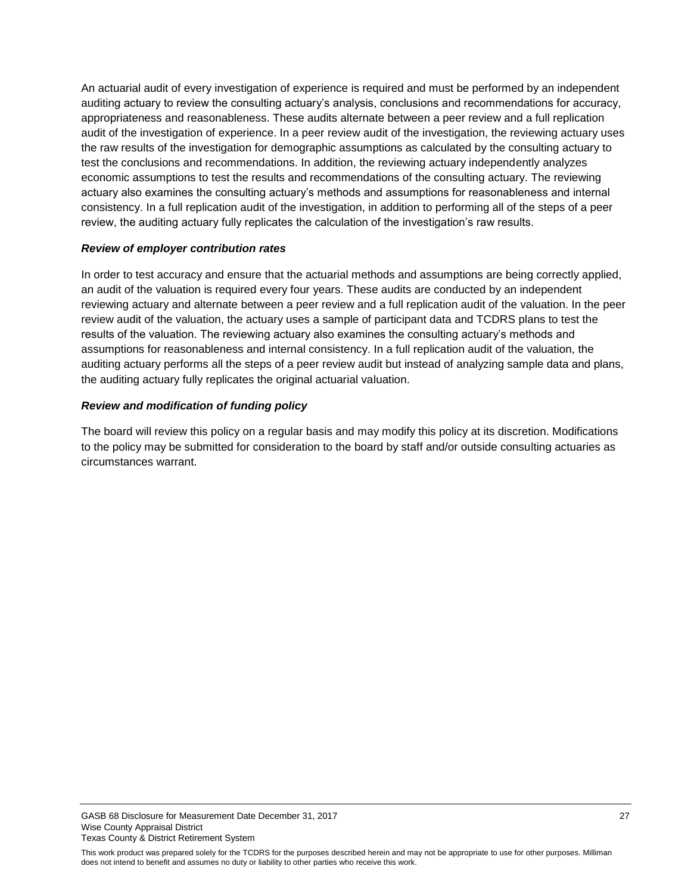An actuarial audit of every investigation of experience is required and must be performed by an independent auditing actuary to review the consulting actuary's analysis, conclusions and recommendations for accuracy, appropriateness and reasonableness. These audits alternate between a peer review and a full replication audit of the investigation of experience. In a peer review audit of the investigation, the reviewing actuary uses the raw results of the investigation for demographic assumptions as calculated by the consulting actuary to test the conclusions and recommendations. In addition, the reviewing actuary independently analyzes economic assumptions to test the results and recommendations of the consulting actuary. The reviewing actuary also examines the consulting actuary's methods and assumptions for reasonableness and internal consistency. In a full replication audit of the investigation, in addition to performing all of the steps of a peer review, the auditing actuary fully replicates the calculation of the investigation's raw results.

#### *Review of employer contribution rates*

In order to test accuracy and ensure that the actuarial methods and assumptions are being correctly applied, an audit of the valuation is required every four years. These audits are conducted by an independent reviewing actuary and alternate between a peer review and a full replication audit of the valuation. In the peer review audit of the valuation, the actuary uses a sample of participant data and TCDRS plans to test the results of the valuation. The reviewing actuary also examines the consulting actuary's methods and assumptions for reasonableness and internal consistency. In a full replication audit of the valuation, the auditing actuary performs all the steps of a peer review audit but instead of analyzing sample data and plans, the auditing actuary fully replicates the original actuarial valuation.

#### *Review and modification of funding policy*

The board will review this policy on a regular basis and may modify this policy at its discretion. Modifications to the policy may be submitted for consideration to the board by staff and/or outside consulting actuaries as circumstances warrant.